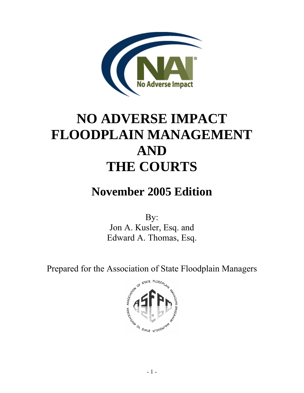

# **NO ADVERSE IMPACT FLOODPLAIN MANAGEMENT AND THE COURTS**

## **November 2005 Edition**

By: Jon A. Kusler, Esq. and Edward A. Thomas, Esq.

Prepared for the Association of State Floodplain Managers

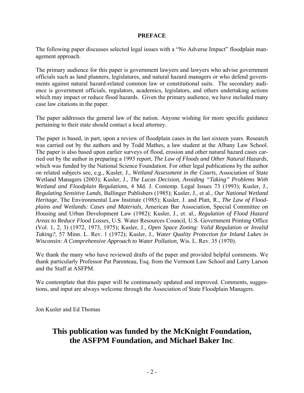#### **PREFACE**

The following paper discusses selected legal issues with a "No Adverse Impact" floodplain management approach.

The primary audience for this paper is government lawyers and lawyers who advise government officials such as land planners, legislatures, and natural hazard managers or who defend governments against natural hazard-related common law or constitutional suits. The secondary audience is government officials, regulators, academics, legislators, and others undertaking actions which may impact or reduce flood hazards. Given the primary audience, we have included many case law citations in the paper.

The paper addresses the general law of the nation. Anyone wishing for more specific guidance pertaining to their state should contact a local attorney.

The paper is based, in part, upon a review of floodplain cases in the last sixteen years. Research was carried out by the authors and by Todd Mathes, a law student at the Albany Law School. The paper is also based upon earlier surveys of flood, erosion and other natural hazard cases carried out by the author in preparing a 1993 report, *The Law of Floods and Other Natural Hazards*, which was funded by the National Science Foundation. For other legal publications by the author on related subjects see, e.g., Kusler, J., *Wetland Assessment in the Courts*, Association of State Wetland Managers (2003); Kusler, J., *The Lucas Decision, Avoiding "Taking" Problems With Wetland and Floodplain Regulations*, 4 Md. J. Contemp. Legal Issues 73 (1993); Kusler, J., *Regulating Sensitive Lands*, Ballinger Publishers (1985); Kusler, J., et al., *Our National Wetland Heritage*, The Environmental Law Institute (1985); Kusler, J. and Platt, R., *The Law of Floodplains and Wetlands: Cases and Materials*, American Bar Association, Special Committee on Housing and Urban Development Law (1982); Kusler, J., et. al., *Regulation of Flood Hazard Areas to Reduce Flood Losses*, U.S. Water Resources Council, U.S. Government Printing Office (Vol. 1, 2, 3) (1972, 1973, 1975); Kusler, J., *Open Space Zoning: Valid Regulation or Invalid Taking?*, 57 Minn. L. Rev. 1 (1972); Kusler, J., *Water Quality Protection for Inland Lakes in Wisconsin: A Comprehensive Approach to Water Pollution*, Wis. L. Rev. 35 (1970).

We thank the many who have reviewed drafts of the paper and provided helpful comments. We thank particularly Professor Pat Parenteau, Esq. from the Vermont Law School and Larry Larson and the Staff at ASFPM.

We contemplate that this paper will be continuously updated and improved. Comments, suggestions, and input are always welcome through the Association of State Floodplain Managers.

Jon Kusler and Ed Thomas

## **This publication was funded by the McKnight Foundation, the ASFPM Foundation, and Michael Baker Inc**.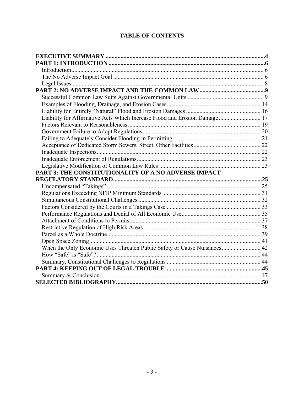## **TABLE OF CONTENTS**

| Liability for Affirmative Acts Which Increase Flood and Erosion Damage 17 |  |
|---------------------------------------------------------------------------|--|
|                                                                           |  |
|                                                                           |  |
|                                                                           |  |
|                                                                           |  |
|                                                                           |  |
|                                                                           |  |
|                                                                           |  |
|                                                                           |  |
| PART 3: THE CONSTITUTIONALITY OF A NO ADVERSE IMPACT                      |  |
|                                                                           |  |
|                                                                           |  |
|                                                                           |  |
|                                                                           |  |
|                                                                           |  |
|                                                                           |  |
|                                                                           |  |
|                                                                           |  |
|                                                                           |  |
|                                                                           |  |
| When the Only Economic Uses Threaten Public Safety or Cause Nuisances 42  |  |
|                                                                           |  |
|                                                                           |  |
|                                                                           |  |
|                                                                           |  |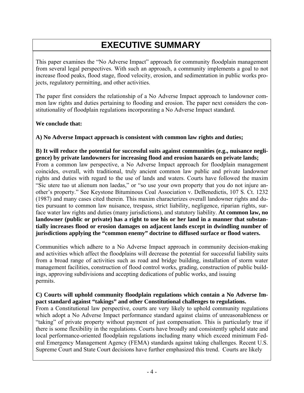## **EXECUTIVE SUMMARY**

<span id="page-3-0"></span>This paper examines the "No Adverse Impact" approach for community floodplain management from several legal perspectives. With such an approach, a community implements a goal to not increase flood peaks, flood stage, flood velocity, erosion, and sedimentation in public works projects, regulatory permitting, and other activities.

The paper first considers the relationship of a No Adverse Impact approach to landowner common law rights and duties pertaining to flooding and erosion. The paper next considers the constitutionality of floodplain regulations incorporating a No Adverse Impact standard.

## **We conclude that:**

## **A) No Adverse Impact approach is consistent with common law rights and duties;**

**B) It will reduce the potential for successful suits against communities (e.g., nuisance negligence) by private landowners for increasing flood and erosion hazards on private lands;** From a common law perspective, a No Adverse Impact approach for floodplain management coincides, overall, with traditional, truly ancient common law public and private landowner rights and duties with regard to the use of lands and waters. Courts have followed the maxim "Sic utere tuo ut alienum non laedas," or "so use your own property that you do not injure another's property." See Keystone Bituminous Coal Association v. DeBenedictis, 107 S. Ct. 1232 (1987) and many cases cited therein. This maxim characterizes overall landowner rights and duties pursuant to common law nuisance, trespass, strict liability, negligence, riparian rights, surface water law rights and duties (many jurisdictions), and statutory liability. **At common law, no landowner (public or private) has a right to use his or her land in a manner that substantially increases flood or erosion damages on adjacent lands except in dwindling number of jurisdictions applying the "common enemy" doctrine to diffused surface or flood waters.** 

Communities which adhere to a No Adverse Impact approach in community decision-making and activities which affect the floodplains will decrease the potential for successful liability suits from a broad range of activities such as road and bridge building, installation of storm water management facilities, construction of flood control works, grading, construction of public buildings, approving subdivisions and accepting dedications of public works, and issuing permits.

## **C) Courts will uphold community floodplain regulations which contain a No Adverse Impact standard against "takings" and other Constitutional challenges to regulations.**

From a Constitutional law perspective, courts are very likely to uphold community regulations which adopt a No Adverse Impact performance standard against claims of unreasonableness or "taking" of private property without payment of just compensation. This is particularly true if there is some flexibility in the regulations. Courts have broadly and consistently upheld state and local performance-oriented floodplain regulations including many which exceed minimum Federal Emergency Management Agency (FEMA) standards against taking challenges. Recent U.S. Supreme Court and State Court decisions have further emphasized this trend. Courts are likely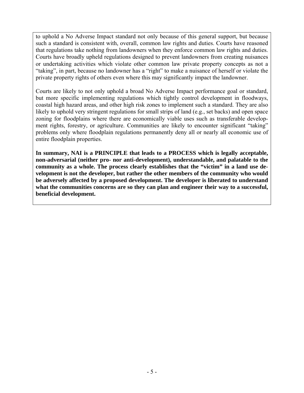to uphold a No Adverse Impact standard not only because of this general support, but because such a standard is consistent with, overall, common law rights and duties. Courts have reasoned that regulations take nothing from landowners when they enforce common law rights and duties. Courts have broadly upheld regulations designed to prevent landowners from creating nuisances or undertaking activities which violate other common law private property concepts as not a "taking", in part, because no landowner has a "right" to make a nuisance of herself or violate the private property rights of others even where this may significantly impact the landowner.

Courts are likely to not only uphold a broad No Adverse Impact performance goal or standard, but more specific implementing regulations which tightly control development in floodways, coastal high hazard areas, and other high risk zones to implement such a standard. They are also likely to uphold very stringent regulations for small strips of land (e.g., set backs) and open space zoning for floodplains where there are economically viable uses such as transferable development rights, forestry, or agriculture. Communities are likely to encounter significant "taking" problems only where floodplain regulations permanently deny all or nearly all economic use of entire floodplain properties.

**In summary, NAI is a PRINCIPLE that leads to a PROCESS which is legally acceptable, non-adversarial (neither pro- nor anti-development), understandable, and palatable to the community as a whole. The process clearly establishes that the "victim" in a land use development is not the developer, but rather the other members of the community who would be adversely affected by a proposed development. The developer is liberated to understand what the communities concerns are so they can plan and engineer their way to a successful, beneficial development.**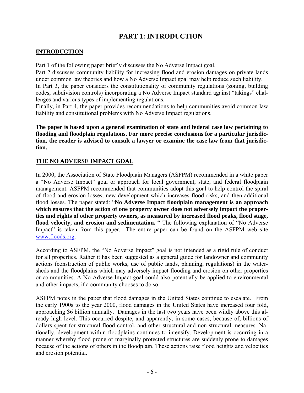## **PART 1: INTRODUCTION**

## <span id="page-5-0"></span>**INTRODUCTION**

Part 1 of the following paper briefly discusses the No Adverse Impact goal.

Part 2 discusses community liability for increasing flood and erosion damages on private lands under common law theories and how a No Adverse Impact goal may help reduce such liability.

In Part 3, the paper considers the constitutionality of community regulations (zoning, building codes, subdivision controls) incorporating a No Adverse Impact standard against "takings" challenges and various types of implementing regulations.

Finally, in Part 4, the paper provides recommendations to help communities avoid common law liability and constitutional problems with No Adverse Impact regulations.

**The paper is based upon a general examination of state and federal case law pertaining to flooding and floodplain regulations. For more precise conclusions for a particular jurisdiction, the reader is advised to consult a lawyer or examine the case law from that jurisdiction.** 

## **THE NO ADVERSE IMPACT GOAL**

In 2000, the Association of State Floodplain Managers (ASFPM) recommended in a white paper a "No Adverse Impact" goal or approach for local government, state, and federal floodplain management. ASFPM recommended that communities adopt this goal to help control the spiral of flood and erosion losses, new development which increases flood risks, and then additional flood losses. The paper stated: "**No Adverse Impact floodplain management is an approach which ensures that the action of one property owner does not adversely impact the properties and rights of other property owners, as measured by increased flood peaks, flood stage, flood velocity, and erosion and sedimentation.** " The following explanation of "No Adverse Impact" is taken from this paper. The entire paper can be found on the ASFPM web site www.floods.org.

According to ASFPM, the "No Adverse Impact" goal is not intended as a rigid rule of conduct for all properties. Rather it has been suggested as a general guide for landowner and community actions (construction of public works, use of public lands, planning, regulations) in the watersheds and the floodplains which may adversely impact flooding and erosion on other properties or communities. A No Adverse Impact goal could also potentially be applied to environmental and other impacts, if a community chooses to do so.

ASFPM notes in the paper that flood damages in the United States continue to escalate. From the early 1900s to the year 2000, flood damages in the United States have increased four fold, approaching \$6 billion annually. Damages in the last two years have been wildly above this already high level. This occurred despite, and apparently, in some cases, because of, billions of dollars spent for structural flood control, and other structural and non-structural measures. Nationally, development within floodplains continues to intensify. Development is occurring in a manner whereby flood prone or marginally protected structures are suddenly prone to damages because of the actions of others in the floodplain. These actions raise flood heights and velocities and erosion potential.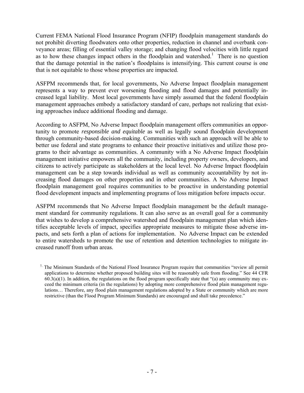Current FEMA National Flood Insurance Program (NFIP) floodplain management standards do not prohibit diverting floodwaters onto other properties, reduction in channel and overbank conveyance areas; filling of essential valley storage; and changing flood velocities with little regard as to how these changes impact others in the floodplain and watershed.<sup>1</sup> There is no question that the damage potential in the nation's floodplains is intensifying. This current course is one that is not equitable to those whose properties are impacted.

ASFPM recommends that, for local governments, No Adverse Impact floodplain management represents a way to prevent ever worsening flooding and flood damages and potentially increased legal liability. Most local governments have simply assumed that the federal floodplain management approaches embody a satisfactory standard of care, perhaps not realizing that existing approaches induce additional flooding and damage.

According to ASFPM, No Adverse Impact floodplain management offers communities an opportunity to promote *responsible and equitable* as well as legally sound floodplain development through community-based decision-making. Communities with such an approach will be able to better use federal and state programs to enhance their proactive initiatives and utilize those programs to their advantage as communities. A community with a No Adverse Impact floodplain management initiative empowers all the community, including property owners, developers, and citizens to actively participate as stakeholders at the local level. No Adverse Impact floodplain management can be a step towards individual as well as community accountability by not increasing flood damages on other properties and in other communities. A No Adverse Impact floodplain management goal requires communities to be proactive in understanding potential flood development impacts and implementing programs of loss mitigation before impacts occur.

ASFPM recommends that No Adverse Impact floodplain management be the default management standard for community regulations. It can also serve as an overall goal for a community that wishes to develop a comprehensive watershed and floodplain management plan which identifies acceptable levels of impact, specifies appropriate measures to mitigate those adverse impacts, and sets forth a plan of actions for implementation. No Adverse Impact can be extended to entire watersheds to promote the use of retention and detention technologies to mitigate increased runoff from urban areas.

<sup>&</sup>lt;sup>1.</sup> The Minimum Standards of the National Flood Insurance Program require that communities "review all permit applications to determine whether proposed building sites will be reasonably safe from flooding." See 44 CFR  $60.3(a)(1)$ . In addition, the regulations on the flood program specifically state that "(a) any community may exceed the minimum criteria (in the regulations) by adopting more comprehensive flood plain management regulations… Therefore, any flood plain management regulations adopted by a State or community which are more restrictive (than the Flood Program Minimum Standards) are encouraged and shall take precedence."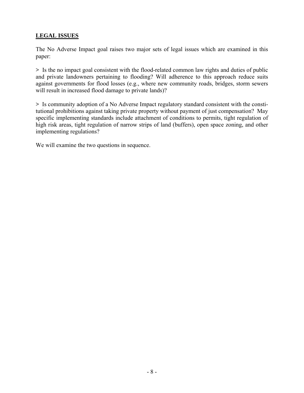## **LEGAL ISSUES**

The No Adverse Impact goal raises two major sets of legal issues which are examined in this paper:

**>** Is the no impact goal consistent with the flood-related common law rights and duties of public and private landowners pertaining to flooding? Will adherence to this approach reduce suits against governments for flood losses (e.g., where new community roads, bridges, storm sewers will result in increased flood damage to private lands)?

**>** Is community adoption of a No Adverse Impact regulatory standard consistent with the constitutional prohibitions against taking private property without payment of just compensation? May specific implementing standards include attachment of conditions to permits, tight regulation of high risk areas, tight regulation of narrow strips of land (buffers), open space zoning, and other implementing regulations?

We will examine the two questions in sequence.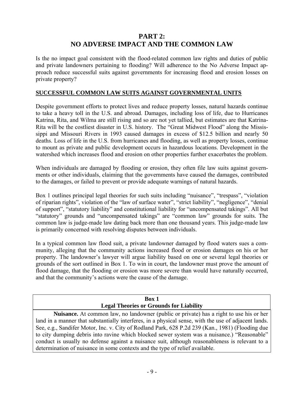## **PART 2: NO ADVERSE IMPACT AND THE COMMON LAW**

<span id="page-8-0"></span>Is the no impact goal consistent with the flood-related common law rights and duties of public and private landowners pertaining to flooding? Will adherence to the No Adverse Impact approach reduce successful suits against governments for increasing flood and erosion losses on private property?

## **SUCCESSFUL COMMON LAW SUITS AGAINST GOVERNMENTAL UNITS**

Despite government efforts to protect lives and reduce property losses, natural hazards continue to take a heavy toll in the U.S. and abroad. Damages, including loss of life, due to Hurricanes Katrina, Rita, and Wilma are still rising and so are not yet tallied, but estimates are that Katrina-Rita will be the costliest disaster in U.S. history. The "Great Midwest Flood" along the Mississippi and Missouri Rivers in 1993 caused damages in excess of \$12.5 billion and nearly 50 deaths. Loss of life in the U.S. from hurricanes and flooding, as well as property losses, continue to mount as private and public development occurs in hazardous locations. Development in the watershed which increases flood and erosion on other properties further exacerbates the problem.

When individuals are damaged by flooding or erosion, they often file law suits against governments or other individuals, claiming that the governments have caused the damages, contributed to the damages, or failed to prevent or provide adequate warnings of natural hazards.

Box 1 outlines principal legal theories for such suits including "nuisance", "trespass", "violation of riparian rights", violation of the "law of surface water", "strict liability", "negligence", "denial of support", "statutory liability" and constitutional liability for "uncompensated takings". All but "statutory" grounds and "uncompensated takings" are "common law" grounds for suits. The common law is judge-made law dating back more than one thousand years. This judge-made law is primarily concerned with resolving disputes between individuals.

In a typical common law flood suit, a private landowner damaged by flood waters sues a community, alleging that the community actions increased flood or erosion damages on his or her property. The landowner's lawyer will argue liability based on one or several legal theories or grounds of the sort outlined in Box 1. To win in court, the landowner must prove the amount of flood damage, that the flooding or erosion was more severe than would have naturally occurred, and that the community's actions were the cause of the damage.

| Box 1                                                                                                |
|------------------------------------------------------------------------------------------------------|
| <b>Legal Theories or Grounds for Liability</b>                                                       |
| <b>Nuisance.</b> At common law, no landowner (public or private) has a right to use his or her       |
| land in a manner that substantially interferes, in a physical sense, with the use of adjacent lands. |
| See, e.g., Sandifer Motor, Inc. v. City of Rodland Park, 628 P.2d 239 (Kan., 1981) (Flooding due     |
| to city dumping debris into ravine which blocked sewer system was a nuisance.) "Reasonable"          |
| conduct is usually no defense against a nuisance suit, although reasonableness is relevant to a      |
| determination of nuisance in some contexts and the type of relief available.                         |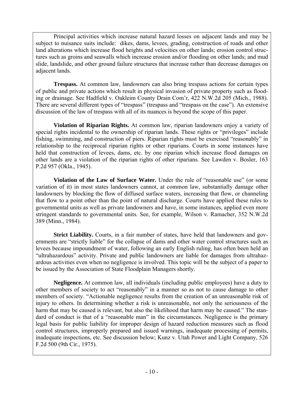Principal activities which increase natural hazard losses on adjacent lands and may be subject to nuisance suits include: dikes, dams, levees, grading, construction of roads and other land alterations which increase flood heights and velocities on other lands; erosion control structures such as groins and seawalls which increase erosion and/or flooding on other lands; and mud slide, landslide, and other ground failure structures that increase rather than decrease damages on adjacent lands.

**Trespass.** At common law, landowners can also bring trespass actions for certain types of public and private actions which result in physical invasion of private property such as flooding or drainage. See Hadfield v. Oakleim County Drain Com'r, 422 N.W.2d 205 (Mich., 1988). There are several different types of "trespass" (trespass and "trespass on the case"). An extensive discussion of the law of trespass with all of its nuances is beyond the scope of this paper.

**Violation of Riparian Rights.** At common law, riparian landowners enjoy a variety of special rights incidental to the ownership of riparian lands. These rights or "privileges" include fishing, swimming, and construction of piers. Riparian rights must be exercised "reasonably" in relationship to the reciprocal riparian rights or other riparians. Courts in some instances have held that construction of levees, dams, etc. by one riparian which increase flood damages on other lands are a violation of the riparian rights of other riparians. See Lawden v. Bosler, 163 P.2d 957 (Okla., 1945).

**Violation of the Law of Surface Water.** Under the rule of "reasonable use" (or some variation of it) in most states landowners cannot, at common law, substantially damage other landowners by blocking the flow of diffused surface waters, increasing that flow, or channeling that flow to a point other than the point of natural discharge. Courts have applied these rules to governmental units as well as private landowners and have, in some instances, applied even more stringent standards to governmental units. See, for example, Wilson v. Ramacher, 352 N.W.2d 389 (Minn., 1984).

**Strict Liability.** Courts, in a fair number of states, have held that landowners and governments are "strictly liable" for the collapse of dams and other water control structures such as levees because impoundment of water, following an early English ruling, has often been held an "ultrahazardous" activity. Private and public landowners are liable for damages from ultrahazardous activities even when no negligence is involved. This topic will be the subject of a paper to be issued by the Association of State Floodplain Managers shortly.

**Negligence.** At common law, all individuals (including public employees) have a duty to other members of society to act "reasonably" in a manner so as not to cause damage to other members of society. "Actionable negligence results from the creation of an unreasonable risk of injury to others. In determining whether a risk is unreasonable, not only the seriousness of the harm that may be caused is relevant, but also the likelihood that harm may be caused." The standard of conduct is that of a "reasonable man" in the circumstances. Negligence is the primary legal basis for public liability for improper design of hazard reduction measures such as flood control structures, improperly prepared and issued warnings, inadequate processing of permits, inadequate inspections, etc. See discussion below; Kunz v. Utah Power and Light Company, 526 F.2d 500 (9th Cir., 1975).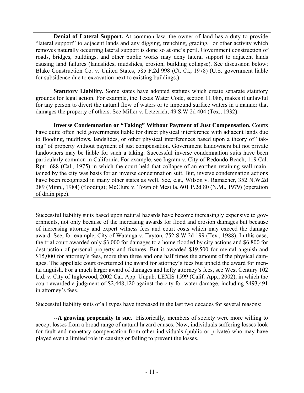**Denial of Lateral Support.** At common law, the owner of land has a duty to provide "lateral support" to adjacent lands and any digging, trenching, grading, or other activity which removes naturally occurring lateral support is done so at one's peril. Government construction of roads, bridges, buildings, and other public works may deny lateral support to adjacent lands causing land failures (landslides, mudslides, erosion, building collapse). See discussion below; Blake Construction Co. v. United States, 585 F.2d 998 (Ct. Cl., 1978) (U.S. government liable for subsidence due to excavation next to existing buildings.)

**Statutory Liability.** Some states have adopted statutes which create separate statutory grounds for legal action. For example, the Texas Water Code, section 11.086, makes it unlawful for any person to divert the natural flow of waters or to impound surface waters in a manner that damages the property of others. See Miller v. Letzerich, 49 S.W.2d 404 (Tex., 1932).

**Inverse Condemnation or "Taking" Without Payment of Just Compensation.** Courts have quite often held governments liable for direct physical interference with adjacent lands due to flooding, mudflows, landslides, or other physical interferences based upon a theory of "taking" of property without payment of just compensation. Government landowners but not private landowners may be liable for such a taking. Successful inverse condemnation suits have been particularly common in California. For example, see Ingram v. City of Redondo Beach, 119 Cal. Rptr. 688 (Cal., 1975) in which the court held that collapse of an earthen retaining wall maintained by the city was basis for an inverse condemnation suit. But, inverse condemnation actions have been recognized in many other states as well. See, e.g., Wilson v. Ramacher, 352 N.W.2d 389 (Minn., 1984) (flooding); McClure v. Town of Mesilla, 601 P.2d 80 (N.M., 1979) (operation of drain pipe).

Successful liability suits based upon natural hazards have become increasingly expensive to governments, not only because of the increasing awards for flood and erosion damages but because of increasing attorney and expert witness fees and court costs which may exceed the damage award. See, for example, City of Watauga v. Tayton, 752 S.W.2d 199 (Tex., 1988). In this case, the trial court awarded only \$3,000 for damages to a home flooded by city actions and \$6,800 for destruction of personal property and fixtures. But it awarded \$19,500 for mental anguish and \$15,000 for attorney's fees, more than three and one half times the amount of the physical damages. The appellate court overturned the award for attorney's fees but upheld the award for mental anguish. For a much larger award of damages and hefty attorney's fees, see West Century 102 Ltd. v. City of Inglewood, 2002 Cal. App. Unpub. LEXIS 1599 (Calif. App., 2002), in which the court awarded a judgment of \$2,448,120 against the city for water damage, including \$493,491 in attorney's fees.

Successful liability suits of all types have increased in the last two decades for several reasons:

 --**A growing propensity to sue.** Historically, members of society were more willing to accept losses from a broad range of natural hazard causes. Now, individuals suffering losses look for fault and monetary compensation from other individuals (public or private) who may have played even a limited role in causing or failing to prevent the losses.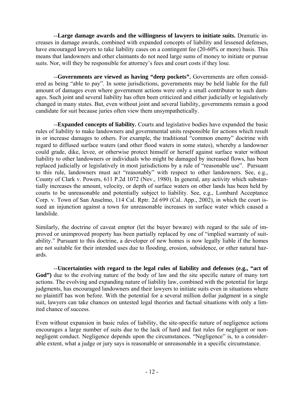--**Large damage awards and the willingness of lawyers to initiate suits.** Dramatic increases in damage awards, combined with expanded concepts of liability and lessened defenses, have encouraged lawyers to take liability cases on a contingent fee (20-60% or more) basis. This means that landowners and other claimants do not need large sums of money to initiate or pursue suits. Nor, will they be responsible for attorney's fees and court costs if they lose.

--**Governments are viewed as having "deep pockets".** Governments are often considered as being "able to pay". In some jurisdictions, governments may be held liable for the full amount of damages even where government actions were only a small contributor to such damages. Such joint and several liability has often been criticized and either judicially or legislatively changed in many states. But, even without joint and several liability, governments remain a good candidate for suit because juries often view them unsympathetically.

 --**Expanded concepts of liability.** Courts and legislative bodies have expanded the basic rules of liability to make landowners and governmental units responsible for actions which result in or increase damages to others. For example, the traditional "common enemy" doctrine with regard to diffused surface waters (and other flood waters in some states), whereby a landowner could grade, dike, levee, or otherwise protect himself or herself against surface water without liability to other landowners or individuals who might be damaged by increased flows, has been replaced judicially or legislatively in most jurisdictions by a rule of "reasonable use". Pursuant to this rule, landowners must act "reasonably" with respect to other landowners. See, e.g., County of Clark v. Powers, 611 P.2d 1072 (Nev., 1980). In general, any activity which substantially increases the amount, velocity, or depth of surface waters on other lands has been held by courts to be unreasonable and potentially subject to liability. See, e.g., Lombard Acceptance Corp. v. Town of San Anselmo, 114 Cal. Rptr. 2d 699 (Cal. App., 2002), in which the court issued an injunction against a town for unreasonable increases in surface water which caused a landslide.

Similarly, the doctrine of caveat emptor (let the buyer beware) with regard to the sale of improved or unimproved property has been partially replaced by one of "implied warranty of suitability." Pursuant to this doctrine, a developer of new homes is now legally liable if the homes are not suitable for their intended uses due to flooding, erosion, subsidence, or other natural hazards.

 --**Uncertainties with regard to the legal rules of liability and defenses (e.g., "act of**  God") due to the evolving nature of the body of law and the site specific nature of many tort actions. The evolving and expanding nature of liability law, combined with the potential for large judgments, has encouraged landowners and their lawyers to initiate suits even in situations where no plaintiff has won before. With the potential for a several million dollar judgment in a single suit, lawyers can take chances on untested legal theories and factual situations with only a limited chance of success.

Even without expansion in basic rules of liability, the site-specific nature of negligence actions encourages a large number of suits due to the lack of hard and fast rules for negligent or nonnegligent conduct. Negligence depends upon the circumstances. "Negligence" is, to a considerable extent, what a judge or jury says is reasonable or unreasonable in a specific circumstance.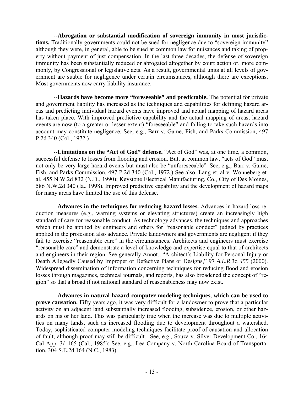--**Abrogation or substantial modification of sovereign immunity in most jurisdictions.** Traditionally governments could not be sued for negligence due to "sovereign immunity" although they were, in general, able to be sued at common law for nuisances and taking of property without payment of just compensation. In the last three decades, the defense of sovereign immunity has been substantially reduced or abrogated altogether by court action or, more commonly, by Congressional or legislative acts. As a result, governmental units at all levels of government are suable for negligence under certain circumstances, although there are exceptions. Most governments now carry liability insurance.

 --**Hazards have become more "foreseeable" and predictable.** The potential for private and government liability has increased as the techniques and capabilities for defining hazard areas and predicting individual hazard events have improved and actual mapping of hazard areas has taken place. With improved predictive capability and the actual mapping of areas, hazard events are now (to a greater or lesser extent) "foreseeable" and failing to take such hazards into account may constitute negligence. See, e.g., Barr v. Game, Fish, and Parks Commission, 497 P.2d 340 (Col., 1972.)

 --**Limitations on the "Act of God" defense.** "Act of God" was, at one time, a common, successful defense to losses from flooding and erosion. But, at common law, "acts of God" must not only be very large hazard events but must also be "unforeseeable". See, e.g., Barr v. Game, Fish, and Parks Commission, 497 P.2d 340 (Col., 1972.) See also, Lang et. al v. Wonneberg et. al, 455 N.W.2d 832 (N.D., 1990); Keystone Electrical Manufacturing, Co., City of Des Moines, 586 N.W.2d 340 (Ia., 1998). Improved predictive capability and the development of hazard maps for many areas have limited the use of this defense.

 --**Advances in the techniques for reducing hazard losses.** Advances in hazard loss reduction measures (e.g., warning systems or elevating structures) create an increasingly high standard of care for reasonable conduct. As technology advances, the techniques and approaches which must be applied by engineers and others for "reasonable conduct" judged by practices applied in the profession also advance. Private landowners and governments are negligent if they fail to exercise "reasonable care" in the circumstances. Architects and engineers must exercise "reasonable care" and demonstrate a level of knowledge and expertise equal to that of architects and engineers in their region. See generally Annot., "Architect's Liability for Personal Injury or Death Allegedly Caused by Improper or Defective Plans or Designs," 97 *A.L.R*.3d *455* (2000). Widespread dissemination of information concerning techniques for reducing flood and erosion losses through magazines, technical journals, and reports, has also broadened the concept of "region" so that a broad if not national standard of reasonableness may now exist.

 --**Advances in natural hazard computer modeling techniques, which can be used to prove causation.** Fifty years ago, it was very difficult for a landowner to prove that a particular activity on an adjacent land substantially increased flooding, subsidence, erosion, or other hazards on his or her land. This was particularly true when the increase was due to multiple activities on many lands, such as increased flooding due to development throughout a watershed. Today, sophisticated computer modeling techniques facilitate proof of causation and allocation of fault, although proof may still be difficult. See, e.g., Souza v. Silver Development Co., 164 Cal App. 3d 165 (Cal., 1985); See, e.g., Lea Company v. North Carolina Board of Transportation, 304 S.E.2d 164 (N.C., 1983).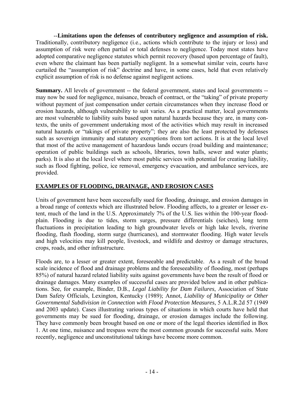<span id="page-13-0"></span> --**Limitations upon the defenses of contributory negligence and assumption of risk.** Traditionally, contributory negligence (i.e., actions which contribute to the injury or loss) and assumption of risk were often partial or total defenses to negligence. Today most states have adopted comparative negligence statutes which permit recovery (based upon percentage of fault), even where the claimant has been partially negligent. In a somewhat similar vein, courts have curtailed the "assumption of risk" doctrine and have, in some cases, held that even relatively explicit assumption of risk is no defense against negligent actions.

**Summary.** All levels of government -- the federal government, states and local governments -may now be sued for negligence, nuisance, breach of contract, or the "taking" of private property without payment of just compensation under certain circumstances when they increase flood or erosion hazards, although vulnerability to suit varies. As a practical matter, local governments are most vulnerable to liability suits based upon natural hazards because they are, in many contexts, the units of government undertaking most of the activities which may result in increased natural hazards or "takings of private property"; they are also the least protected by defenses such as sovereign immunity and statutory exemptions from tort actions. It is at the local level that most of the active management of hazardous lands occurs (road building and maintenance; operation of public buildings such as schools, libraries, town halls, sewer and water plants; parks). It is also at the local level where most public services with potential for creating liability, such as flood fighting, police, ice removal, emergency evacuation, and ambulance services, are provided.

## **EXAMPLES OF FLOODING, DRAINAGE, AND EROSION CASES**

Units of government have been successfully sued for flooding, drainage, and erosion damages in a broad range of contexts which are illustrated below. Flooding affects, to a greater or lesser extent, much of the land in the U.S. Approximately 7% of the U.S. lies within the 100-year floodplain. Flooding is due to tides, storm surges, pressure differentials (seiches), long term fluctuations in precipitation leading to high groundwater levels or high lake levels, riverine flooding, flash flooding, storm surge (hurricanes), and stormwater flooding. High water levels and high velocities may kill people, livestock, and wildlife and destroy or damage structures, crops, roads, and other infrastructure.

Floods are, to a lesser or greater extent, foreseeable and predictable. As a result of the broad scale incidence of flood and drainage problems and the foreseeability of flooding, most (perhaps 85%) of natural hazard related liability suits against governments have been the result of flood or drainage damages. Many examples of successful cases are provided below and in other publications. See, for example, Binder, D.B., *Legal Liability for Dam Failures*, Association of State Dam Safety Officials, Lexington, Kentucky (1989); Annot, *Liability of Municipality or Other Governmental Subdivision in Connection with Flood Protection Measures*, 5 A.L.R.2d 57 (1949 and 2003 update). Cases illustrating various types of situations in which courts have held that governments may be sued for flooding, drainage, or erosion damages include the following. They have commonly been brought based on one or more of the legal theories identified in Box 1. At one time, nuisance and trespass were the most common grounds for successful suits. More recently, negligence and unconstitutional takings have become more common.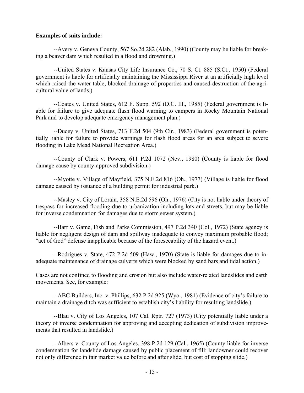#### **Examples of suits include:**

 --Avery v. Geneva County, 567 So.2d 282 (Alab., 1990) (County may be liable for breaking a beaver dam which resulted in a flood and drowning.)

 --United States v. Kansas City Life Insurance Co., 70 S. Ct. 885 (S.Ct., 1950) (Federal government is liable for artificially maintaining the Mississippi River at an artificially high level which raised the water table, blocked drainage of properties and caused destruction of the agricultural value of lands.)

 --Coates v. United States, 612 F. Supp. 592 (D.C. Ill., 1985) (Federal government is liable for failure to give adequate flash flood warning to campers in Rocky Mountain National Park and to develop adequate emergency management plan.)

 --Ducey v. United States, 713 F.2d 504 (9th Cir., 1983) (Federal government is potentially liable for failure to provide warnings for flash flood areas for an area subject to severe flooding in Lake Mead National Recreation Area.)

 --County of Clark v. Powers, 611 P.2d 1072 (Nev., 1980) (County is liable for flood damage cause by county-approved subdivision.)

 --Myotte v. Village of Mayfield, 375 N.E.2d 816 (Oh., 1977) (Village is liable for flood damage caused by issuance of a building permit for industrial park.)

 --Masley v. City of Lorain, 358 N.E.2d 596 (Oh., 1976) (City is not liable under theory of trespass for increased flooding due to urbanization including lots and streets, but may be liable for inverse condemnation for damages due to storm sewer system.)

 --Barr v. Game, Fish and Parks Commission, 497 P.2d 340 (Col., 1972) (State agency is liable for negligent design of dam and spillway inadequate to convey maximum probable flood; "act of God" defense inapplicable because of the foreseeability of the hazard event.)

 --Rodrigues v. State, 472 P.2d 509 (Haw., 1970) (State is liable for damages due to inadequate maintenance of drainage culverts which were blocked by sand bars and tidal action.)

Cases are not confined to flooding and erosion but also include water-related landslides and earth movements. See, for example:

 --ABC Builders, Inc. v. Phillips, 632 P.2d 925 (Wyo., 1981) (Evidence of city's failure to maintain a drainage ditch was sufficient to establish city's liability for resulting landslide.)

 --Blau v. City of Los Angeles, 107 Cal. Rptr. 727 (1973) (City potentially liable under a theory of inverse condemnation for approving and accepting dedication of subdivision improvements that resulted in landslide.)

 --Albers v. County of Los Angeles, 398 P.2d 129 (Cal., 1965) (County liable for inverse condemnation for landslide damage caused by public placement of fill; landowner could recover not only difference in fair market value before and after slide, but cost of stopping slide.)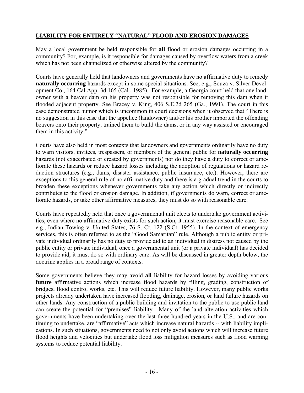## <span id="page-15-0"></span>**LIABILITY FOR ENTIRELY "NATURAL" FLOOD AND EROSION DAMAGES**

May a local government be held responsible for **all** flood or erosion damages occurring in a community? For, example, is it responsible for damages caused by overflow waters from a creek which has not been channelized or otherwise altered by the community?

Courts have generally held that landowners and governments have no affirmative duty to remedy **naturally occurring** hazards except in some special situations. See, e.g., Souza v. Silver Development Co., 164 Cal App. 3d 165 (Cal., 1985). For example, a Georgia court held that one landowner with a beaver dam on his property was not responsible for removing this dam when it flooded adjacent property. See Bracey v. King, 406 S.E.2d 265 (Ga., 1991). The court in this case demonstrated humor which is uncommon in court decisions when it observed that "There is no suggestion in this case that the appellee (landowner) and/or his brother imported the offending beavers onto their property, trained them to build the dams, or in any way assisted or encouraged them in this activity."

Courts have also held in most contexts that landowners and governments ordinarily have no duty to warn visitors, invitees, trespassers, or members of the general public for **naturally occurring** hazards (not exacerbated or created by governments) nor do they have a duty to correct or ameliorate these hazards or reduce hazard losses including the adoption of regulations or hazard reduction structures (e.g., dams, disaster assistance, public insurance, etc.). However, there are exceptions to this general rule of no affirmative duty and there is a gradual trend in the courts to broaden these exceptions whenever governments take any action which directly or indirectly contributes to the flood or erosion damage. In addition, if governments do warn, correct or ameliorate hazards, or take other affirmative measures, they must do so with reasonable care.

Courts have repeatedly held that once a governmental unit elects to undertake government activities, even where no affirmative duty exists for such action, it must exercise reasonable care. See e.g., Indian Towing v. United States, 76 S. Ct. 122 (S.Ct. 1955). In the context of emergency services, this is often referred to as the "Good Samaritan" rule. Although a public entity or private individual ordinarily has no duty to provide aid to an individual in distress not caused by the public entity or private individual, once a governmental unit (or a private individual) has decided to provide aid, it must do so with ordinary care. As will be discussed in greater depth below, the doctrine applies in a broad range of contexts.

Some governments believe they may avoid **all** liability for hazard losses by avoiding various **future** affirmative actions which increase flood hazards by filling, grading, construction of bridges, flood control works, etc. This will reduce future liability. However, many public works projects already undertaken have increased flooding, drainage, erosion, or land failure hazards on other lands. Any construction of a public building and invitation to the public to use public land can create the potential for "premises" liability. Many of the land alteration activities which governments have been undertaking over the last three hundred years in the U.S., and are continuing to undertake, are "affirmative" acts which increase natural hazards -- with liability implications. In such situations, governments need to not only avoid actions which will increase future flood heights and velocities but undertake flood loss mitigation measures such as flood warning systems to reduce potential liability.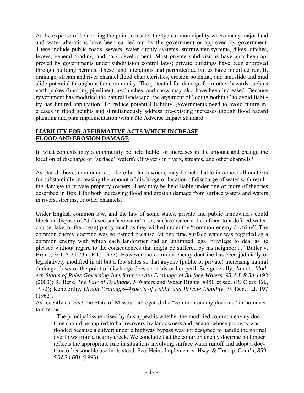<span id="page-16-0"></span>At the expense of belaboring the point, consider the typical municipality where many major land and water alterations have been carried out by the government or approved by government. These include public roads, sewers, water supply systems, stormwater systems, dikes, ditches, levees, general grading, and park development. Most private subdivisions have also been approved by governments under subdivision control laws; private buildings have been approved through building permits. These land alterations and permitted activities have modified runoff, drainage, stream and river channel flood characteristics, erosion potential, and landslide and mud slide potential throughout the community. The potential for damage from other hazards such as earthquakes (bursting pipelines), avalanches, and snow may also have been increased. Because government has modified the natural landscape, the argument of "doing nothing" to avoid liability has limited application. To reduce potential liability, governments need to avoid future increases in flood heights and simultaneously address pre-existing increases though flood hazard planning and plan implementation with a No Adverse Impact standard.

## **LIABILITY FOR AFFIRMATIVE ACTS WHICH INCREASE FLOOD AND EROSION DAMAGE**

In what contexts may a community be held liable for increases in the amount and change the location of discharge of "surface" waters? Of waters in rivers, streams, and other channels?

As stated above, communities, like other landowners, may be held liable in almost all contexts for substantially increasing the amount of discharge or location of discharge of water with resulting damage to private property owners. They may be held liable under one or more of theories described in Box 1 for both increasing flood and erosion damage from surface waters and waters in rivers, streams, or other channels.

Under English common law, and the law of some states, private and public landowners could block or dispose of "diffused surface water" (i.e., surface water not confined to a defined watercourse, lake, or the ocean) pretty much as they wished under the "common-enemy doctrine". The common enemy doctrine was so named because "at one time surface water was regarded as a common enemy with which each landowner had an unlimited legal privilege to deal as he pleased without regard to the consequences that might be suffered by his neighbor...." Butler v. Bruno, 341 A.2d 735 (R.I., 1975). However the common enemy doctrine has been judicially or legislatively modified in all but a few states so that anyone (public or private) increasing natural drainage flows or the point of discharge does so at his or her peril. See generally, Annot., *Modern Status of Rules Governing Interference with Drainage of Surface Waters*, *93 A.L.R.3d 1193* (2003); R. Berk, *The Law of Drainage*, 5 Waters and Water Rights, #450 et seq. (R. Clark Ed., 1972); Kenworthy, *Urban Drainage--Aspects of Public and Private Liability*, 39 Den. L.J. 197 (1962).

As recently as 1993 the State of Missouri abrogated the "common enemy doctrine" in no uncertain terms:

The principal issue raised by this appeal is whether the modified common enemy doctrine should be applied to bar recovery by landowners and tenants whose property was flooded because a culvert under a highway bypass was not designed to handle the normal overflows from a nearby creek. We conclude that the common enemy doctrine no longer reflects the appropriate rule in situations involving surface water runoff and adopt a doctrine of reasonable use in its stead. See, Heins Implement v. Hwy. & Transp. Com'n, *859 S.W.2d 681 (*1993*).*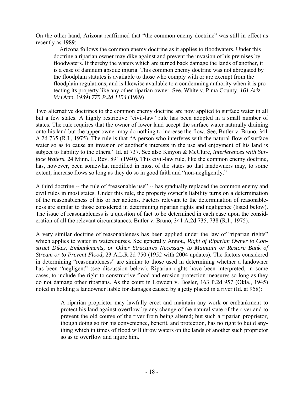On the other hand, Arizona reaffirmed that "the common enemy doctrine" was still in effect as recently as 1989:

 Arizona follows the common enemy doctrine as it applies to floodwaters. Under this doctrine a riparian owner may dike against and prevent the invasion of his premises by floodwaters. If thereby the waters which are turned back damage the lands of another, it is a case of damnum absque injuria. This common enemy doctrine was not abrogated by the floodplain statutes is available to those who comply with or are exempt from the floodplain regulations, and is likewise available to a condemning authority when it is protecting its property like any other riparian owner. See, White v. Pima County, *161 Ariz. 90* (App. 1989) *775 P.2d 1154* (1989)

Two alternative doctrines to the common enemy doctrine are now applied to surface water in all but a few states. A highly restrictive "civil-law" rule has been adopted in a small number of states. The rule requires that the owner of lower land accept the surface water naturally draining onto his land but the upper owner may do nothing to increase the flow. See, Butler v. Bruno, 341 A.2d 735 (R.I., 1975). The rule is that "A person who interferes with the natural flow of surface water so as to cause an invasion of another's interests in the use and enjoyment of his land is subject to liability to the others." Id. at 737. See also Kinyon & McClure, *Interferences with Surface Waters*, 24 Minn. L. Rev. 891 (1940). This civil-law rule, like the common enemy doctrine, has, however, been somewhat modified in most of the states so that landowners may, to some extent, increase flows so long as they do so in good faith and "non-negligently."

A third doctrine -- the rule of "reasonable use" -- has gradually replaced the common enemy and civil rules in most states. Under this rule, the property owner's liability turns on a determination of the reasonableness of his or her actions. Factors relevant to the determination of reasonableness are similar to those considered in determining riparian rights and negligence (listed below). The issue of reasonableness is a question of fact to be determined in each case upon the consideration of all the relevant circumstances. Butler v. Bruno, 341 A.2d 735, 738 (R.I., 1975).

A very similar doctrine of reasonableness has been applied under the law of "riparian rights" which applies to water in watercourses. See generally Annot., *Right of Riparian Owner to Construct Dikes, Embankments, or Other Structures Necessary to Maintain or Restore Bank of Stream or to Prevent Flood*, 23 A.L.R.2d 750 (1952 with 2004 updates). The factors considered in determining "reasonableness" are similar to those used in determining whether a landowner has been "negligent" (see discussion below). Riparian rights have been interpreted, in some cases, to include the right to constructive flood and erosion protection measures so long as they do not damage other riparians. As the court in Lowden v. Bosler, 163 P.2d 957 (Okla., 1945) noted in holding a landowner liable for damages caused by a jetty placed in a river (Id. at 958):

> A riparian proprietor may lawfully erect and maintain any work or embankment to protect his land against overflow by any change of the natural state of the river and to prevent the old course of the river from being altered; but such a riparian proprietor, though doing so for his convenience, benefit, and protection, has no right to build anything which in times of flood will throw waters on the lands of another such proprietor so as to overflow and injure him.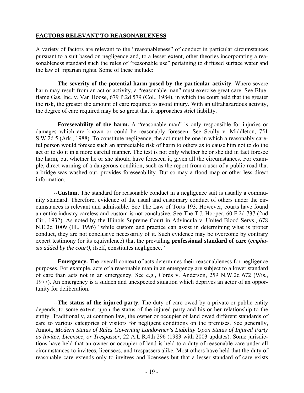## <span id="page-18-0"></span>**FACTORS RELEVANT TO REASONABLENESS**

A variety of factors are relevant to the "reasonableness" of conduct in particular circumstances pursuant to a suit based on negligence and, to a lesser extent, other theories incorporating a reasonableness standard such the rules of "reasonable use" pertaining to diffused surface water and the law of riparian rights. Some of these include:

 --**The severity of the potential harm posed by the particular activity.** Where severe harm may result from an act or activity, a "reasonable man" must exercise great care. See Blueflame Gas, Inc. v. Van Hoose, 679 P.2d 579 (Col., 1984), in which the court held that the greater the risk, the greater the amount of care required to avoid injury. With an ultrahazardous activity, the degree of care required may be so great that it approaches strict liability.

 --**Foreseeability of the harm.** A "reasonable man" is only responsible for injuries or damages which are known or could be reasonably foreseen. See Scully v. Middleton, 751 S.W.2d 5 (Ark., 1988). To constitute negligence, the act must be one in which a reasonably careful person would foresee such an appreciable risk of harm to others as to cause him not to do the act or to do it in a more careful manner. The test is not only whether he or she did in fact foresee the harm, but whether he or she should have foreseen it, given all the circumstances. For example, direct warning of a dangerous condition, such as the report from a user of a public road that a bridge was washed out, provides foreseeability. But so may a flood map or other less direct information.

--**Custom.** The standard for reasonable conduct in a negligence suit is usually a community standard. Therefore, evidence of the usual and customary conduct of others under the circumstances is relevant and admissible. See The Law of Torts 193. However, courts have found an entire industry careless and custom is not conclusive. See The T.J. Hooper, 60 F.2d 737 (2nd Cir., 1932). As noted by the Illinois Supreme Court in Advincula v. United Blood Servs., 678 N.E.2d 1009 (Ill., 1996) "while custom and practice can assist in determining what is proper conduct, they are not conclusive necessarily of it. Such evidence may be overcome by contrary expert testimony (or its equivalence) that the prevailing **professional standard of care (***emphasis added by the court)*, itself, constitutes negligence."

 --**Emergency.** The overall context of acts determines their reasonableness for negligence purposes. For example, acts of a reasonable man in an emergency are subject to a lower standard of care than acts not in an emergency. See e.g., Cords v. Anderson, 259 N.W.2d 672 (Wis., 1977). An emergency is a sudden and unexpected situation which deprives an actor of an opportunity for deliberation.

 --**The status of the injured party.** The duty of care owed by a private or public entity depends, to some extent, upon the status of the injured party and his or her relationship to the entity. Traditionally, at common law, the owner or occupier of land owed different standards of care to various categories of visitors for negligent conditions on the premises. See generally, Annot., *Modern Status of Rules Governing Landowner's Liability Upon Status of Injured Party as Invitee, Licensee, or Trespasser*, 22 A.L.R.4th 296 (1983 with 2003 updates). Some jurisdictions have held that an owner or occupier of land is held to a duty of reasonable care under all circumstances to invitees, licensees, and trespassers alike. Most others have held that the duty of reasonable care extends only to invitees and licensees but that a lesser standard of care exists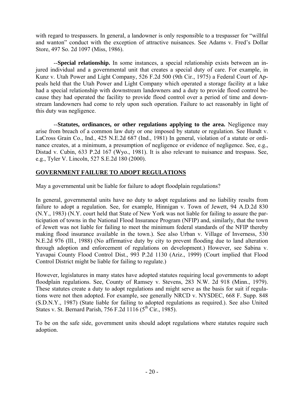<span id="page-19-0"></span>with regard to trespassers. In general, a landowner is only responsible to a trespasser for "willful and wanton" conduct with the exception of attractive nuisances. See Adams v. Fred's Dollar Store, 497 So. 2d 1097 (Miss, 1986).

 --**Special relationship.** In some instances, a special relationship exists between an injured individual and a governmental unit that creates a special duty of care. For example, in Kunz v. Utah Power and Light Company, 526 F.2d 500 (9th Cir., 1975) a Federal Court of Appeals held that the Utah Power and Light Company which operated a storage facility at a lake had a special relationship with downstream landowners and a duty to provide flood control because they had operated the facility to provide flood control over a period of time and downstream landowners had come to rely upon such operation. Failure to act reasonably in light of this duty was negligence.

 --**Statutes, ordinances, or other regulations applying to the area.** Negligence may arise from breach of a common law duty or one imposed by statute or regulation. See Hundt v. LaCross Grain Co., Ind., 425 N.E.2d 687 (Ind., 1981) In general, violation of a statute or ordinance creates, at a minimum, a presumption of negligence or evidence of negligence. See, e.g., Distad v. Cubin, 633 P.2d 167 (Wyo., 1981). It is also relevant to nuisance and trespass. See, e.g., Tyler V. Lincoln, 527 S.E.2d 180 (2000).

## **GOVERNMENT FAILURE TO ADOPT REGULATIONS**

May a governmental unit be liable for failure to adopt floodplain regulations?

In general, governmental units have no duty to adopt regulations and no liability results from failure to adopt a regulation. See, for example, Hinnigan v. Town of Jewett, 94 A.D.2d 830 (N.Y., 1983) (N.Y. court held that State of New York was not liable for failing to assure the participation of towns in the National Flood Insurance Program (NFIP) and, similarly, that the town of Jewett was not liable for failing to meet the minimum federal standards of the NFIP thereby making flood insurance available in the town.). See also Urban v. Village of Inverness, 530 N.E.2d 976 (Ill., 1988) (No affirmative duty by city to prevent flooding due to land alteration through adoption and enforcement of regulations on development.) However, see Sabina v. Yavapai County Flood Control Dist., 993 P.2d 1130 (Ariz., 1999) (Court implied that Flood Control District might be liable for failing to regulate.)

However, legislatures in many states have adopted statutes requiring local governments to adopt floodplain regulations. See, County of Ramsey v. Stevens, 283 N.W. 2d 918 (Minn., 1979). These statutes create a duty to adopt regulations and might serve as the basis for suit if regulations were not then adopted. For example, see generally NRCD v. NYSDEC, 668 F. Supp. 848 (S.D.N.Y., 1987) (State liable for failing to adopted regulations as required.). See also United States v. St. Bernard Parish, 756 F.2d  $1116$  ( $5<sup>th</sup>$  Cir., 1985).

To be on the safe side, government units should adopt regulations where statutes require such adoption.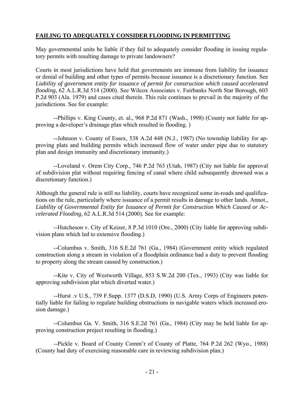## <span id="page-20-0"></span>**FAILING TO ADEQUATELY CONSIDER FLOODING IN PERMITTING**

May governmental units be liable if they fail to adequately consider flooding in issuing regulatory permits with resulting damage to private landowners?

Courts in most jurisdictions have held that governments are immune from liability for issuance or denial of building and other types of permits because issuance is a discretionary function. See *Liability of government entity for issuance of permit for construction which caused accelerated flooding*, [62 A.L.R.3d 514 \(2000\).](http://www.lexis.com/research/buttonTFLink?_m=bd4334df302a9a2a170daab743413ebf&_xfercite=%3ccite%20cc%3d%22USA%22%3e%3c%21%5bCDATA%5b93%20A.L.R.3d%201193%20%5d%5d%3e%3c%2fcite%3e&_butType=3&_butStat=114&_butNum=11&_butInline=1&_butinfo=%3ccite%20cc%3d%22USA%22%3e%3c%21%5bCDATA%5b62%20A.L.R.3d%20514%5d%5d%3e%3c%2fcite%3e&_fmtstr=FULL&docnum=1&_startdoc=1&wchp=dGLbVlz-lSlbW&_md5=352456e98a4ff63166bbe037c7813e37) See Wilcox Associates v. Fairbanks North Star Borough, 603 P.2d 903 (Ala. 1979) and cases cited therein. This rule continues to prevail in the majority of the jurisdictions. See for example:

 --Phillips v. King County, et. al., 968 P.2d 871 (Wash., 1998) (County not liable for approving a developer's drainage plan which resulted in flooding. )

 --Johnson v. County of Essex, 538 A.2d 448 (N.J., 1987) (No township liability for approving plats and building permits which increased flow of water under pipe due to statutory plan and design immunity and discretionary immunity.)

 --Loveland v. Orem City Corp., 746 P.2d 763 (Utah, 1987) (City not liable for approval of subdivision plat without requiring fencing of canal where child subsequently drowned was a discretionary function.)

Although the general rule is still no liability, courts have recognized some in-roads and qualifications on the rule, particularly where issuance of a permit results in damage to other lands. Annot., *Liability of Governmental Entity for Issuance of Permit for Construction Which Caused or Accelerated Flooding*, 62 A.L.R.3d 514 (2000). See for example:

 --Hutcheson v. City of Keizer, 8 P.3d 1010 (Ore., 2000) (City liable for approving subdivision plans which led to extensive flooding.)

 --Columbus v. Smith, 316 S.E.2d 761 (Ga., 1984) (Government entity which regulated construction along a stream in violation of a floodplain ordinance had a duty to prevent flooding to property along the stream caused by construction.)

 --Kite v. City of Westworth Village, 853 S.W.2d 200 (Tex., 1993) (City was liable for approving subdivision plat which diverted water.)

 --Hurst .v U.S., 739 F.Supp. 1377 (D.S.D, 1990) (U.S. Army Corps of Engineers potentially liable for failing to regulate building obstructions in navigable waters which increased erosion damage.)

 --Columbus Ga. V. Smith, 316 S.E.2d 761 (Ga., 1984) (City may be held liable for approving construction project resulting in flooding.)

 --Pickle v. Board of County Comm'r of County of Platte, 764 P.2d 262 (Wyo., 1988) (County had duty of exercising reasonable care in reviewing subdivision plan.)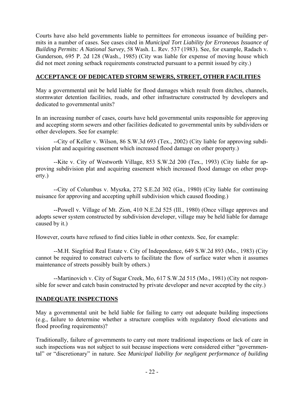<span id="page-21-0"></span>Courts have also held governments liable to permittees for erroneous issuance of building permits in a number of cases. See cases cited in *Municipal Tort Liability for Erroneous Issuance of Building Permits: A National Survey*, 58 Wash. L. Rev. 537 (1983). See, for example, Radach v. Gunderson, 695 P. 2d 128 (Wash., 1985) (City was liable for expense of moving house which did not meet zoning setback requirements constructed pursuant to a permit issued by city.)

## **ACCEPTANCE OF DEDICATED STORM SEWERS, STREET, OTHER FACILITIES**

May a governmental unit be held liable for flood damages which result from ditches, channels, stormwater detention facilities, roads, and other infrastructure constructed by developers and dedicated to governmental units?

In an increasing number of cases, courts have held governmental units responsible for approving and accepting storm sewers and other facilities dedicated to governmental units by subdividers or other developers. See for example:

 --City of Keller v. Wilson, 86 S.W.3d 693 (Tex., 2002) (City liable for approving subdivision plat and acquiring easement which increased flood damage on other property.)

 --Kite v. City of Westworth Village, 853 S.W.2d 200 (Tex., 1993) (City liable for approving subdivision plat and acquiring easement which increased flood damage on other property.)

 --City of Columbus v. Myszka, 272 S.E.2d 302 (Ga., 1980) (City liable for continuing nuisance for approving and accepting uphill subdivision which caused flooding.)

 --Powell v. Village of Mt. Zion, 410 N.E.2d 525 (Ill., 1980) (Once village approves and adopts sewer system constructed by subdivision developer, village may be held liable for damage caused by it.)

However, courts have refused to find cities liable in other contexts. See, for example:

 --M.H. Siegfried Real Estate v. City of Independence, 649 S.W.2d 893 (Mo., 1983) (City cannot be required to construct culverts to facilitate the flow of surface water when it assumes maintenance of streets possibly built by others.)

 --Martinovich v. City of Sugar Creek, Mo, 617 S.W.2d 515 (Mo., 1981) (City not responsible for sewer and catch basin constructed by private developer and never accepted by the city.)

## **INADEQUATE INSPECTIONS**

May a governmental unit be held liable for failing to carry out adequate building inspections (e.g., failure to determine whether a structure complies with regulatory flood elevations and flood proofing requirements)?

Traditionally, failure of governments to carry out more traditional inspections or lack of care in such inspections was not subject to suit because inspections were considered either "governmental" or "discretionary" in nature. See *Municipal liability for negligent performance of building*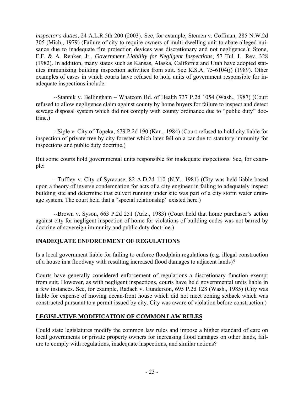<span id="page-22-0"></span>*inspector's duties*, [24 A.L.R.5th 200 \(2003\).](http://www.lexis.com/research/buttonTFLink?_m=c7b6903503ea8bfb58ce651921a10e97&_xfercite=%3ccite%20cc%3d%22USA%22%3e%3c%21%5bCDATA%5b62%20A.L.R.3d%20514%20%5d%5d%3e%3c%2fcite%3e&_butType=3&_butStat=114&_butNum=8&_butInline=1&_butinfo=%3ccite%20cc%3d%22USA%22%3e%3c%21%5bCDATA%5b24%20A.L.R.5th%20200%5d%5d%3e%3c%2fcite%3e&_fmtstr=FULL&docnum=1&_startdoc=1&wchp=dGLbVlz-lSlbW&_md5=0e1a9e110444723c91467372c61ac0b3) See, for example, Stemen v. Coffman, 285 N.W.2d 305 (Mich., 1979) (Failure of city to require owners of multi-dwelling unit to abate alleged nuisance due to inadequate fire protection devices was discretionary and not negligence.); Stone, F.F. & A. Renker, Jr., *Government Liability for Negligent Inspections*, 57 Tul. L. Rev. 328 (1982). In addition, many states such as Kansas, Alaska, California and Utah have adopted statutes immunizing building inspection activities from suit. See K.S.A. 75-6104(j) (1989). Other examples of cases in which courts have refused to hold units of government responsible for inadequate inspections include:

 --Stannik v. Bellingham – Whatcom Bd. of Health 737 P.2d 1054 (Wash., 1987) (Court refused to allow negligence claim against county by home buyers for failure to inspect and detect sewage disposal system which did not comply with county ordinance due to "public duty" doctrine.)

 --Siple v. City of Topeka, 679 P.2d 190 (Kan., 1984) (Court refused to hold city liable for inspection of private tree by city forester which later fell on a car due to statutory immunity for inspections and public duty doctrine.)

But some courts hold governmental units responsible for inadequate inspections. See, for example:

 --Tuffley v. City of Syracuse, 82 A.D.2d 110 (N.Y., 1981) (City was held liable based upon a theory of inverse condemnation for acts of a city engineer in failing to adequately inspect building site and determine that culvert running under site was part of a city storm water drainage system. The court held that a "special relationship" existed here.)

 --Brown v. Syson, 663 P.2d 251 (Ariz., 1983) (Court held that home purchaser's action against city for negligent inspection of home for violations of building codes was not barred by doctrine of sovereign immunity and public duty doctrine.)

## **INADEQUATE ENFORCEMENT OF REGULATIONS**

Is a local government liable for failing to enforce floodplain regulations (e.g. illegal construction of a house in a floodway with resulting increased flood damages to adjacent lands)?

Courts have generally considered enforcement of regulations a discretionary function exempt from suit. However, as with negligent inspections, courts have held governmental units liable in a few instances. See, for example, Radach v. Gunderson, 695 P.2d 128 (Wash., 1985) (City was liable for expense of moving ocean-front house which did not meet zoning setback which was constructed pursuant to a permit issued by city. City was aware of violation before construction.)

## **LEGISLATIVE MODIFICATION OF COMMON LAW RULES**

Could state legislatures modify the common law rules and impose a higher standard of care on local governments or private property owners for increasing flood damages on other lands, failure to comply with regulations, inadequate inspections, and similar actions?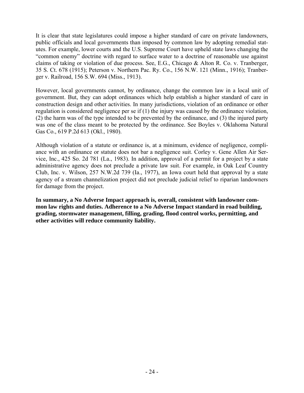It is clear that state legislatures could impose a higher standard of care on private landowners, public officials and local governments than imposed by common law by adopting remedial statutes. For example, lower courts and the U.S. Supreme Court have upheld state laws changing the "common enemy" doctrine with regard to surface water to a doctrine of reasonable use against claims of taking or violation of due process. See, E.G., Chicago & Alton R. Co. v. Tranberger, 35 S. Ct. 678 (1915); Peterson v. Northern Pac. Ry. Co., 156 N.W. 121 (Minn., 1916); Tranberger v. Railroad, 156 S.W. 694 (Miss., 1913).

However, local governments cannot, by ordinance, change the common law in a local unit of government. But, they can adopt ordinances which help establish a higher standard of care in construction design and other activities. In many jurisdictions, violation of an ordinance or other regulation is considered negligence per se if (1) the injury was caused by the ordinance violation, (2) the harm was of the type intended to be prevented by the ordinance, and (3) the injured party was one of the class meant to be protected by the ordinance. See Boyles v. Oklahoma Natural Gas Co., 619 P.2d 613 (Okl., 1980).

Although violation of a statute or ordinance is, at a minimum, evidence of negligence, compliance with an ordinance or statute does not bar a negligence suit. Corley v. Gene Allen Air Service, Inc., 425 So. 2d 781 (La., 1983). In addition, approval of a permit for a project by a state administrative agency does not preclude a private law suit. For example, in Oak Leaf Country Club, Inc. v. Wilson, 257 N.W.2d 739 (Ia., 1977), an Iowa court held that approval by a state agency of a stream channelization project did not preclude judicial relief to riparian landowners for damage from the project.

**In summary, a No Adverse Impact approach is, overall, consistent with landowner common law rights and duties. Adherence to a No Adverse Impact standard in road building, grading, stormwater management, filling, grading, flood control works, permitting, and other activities will reduce community liability.**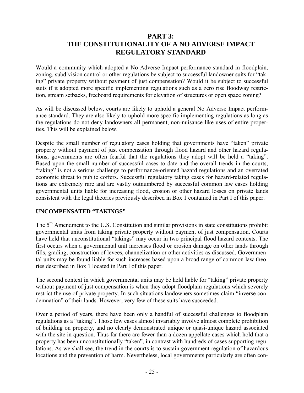## **PART 3: THE CONSTITUTIONALITY OF A NO ADVERSE IMPACT REGULATORY STANDARD**

<span id="page-24-0"></span>Would a community which adopted a No Adverse Impact performance standard in floodplain, zoning, subdivision control or other regulations be subject to successful landowner suits for "taking" private property without payment of just compensation? Would it be subject to successful suits if it adopted more specific implementing regulations such as a zero rise floodway restriction, stream setbacks, freeboard requirements for elevation of structures or open space zoning?

As will be discussed below, courts are likely to uphold a general No Adverse Impact performance standard. They are also likely to uphold more specific implementing regulations as long as the regulations do not deny landowners all permanent, non-nuisance like uses of entire properties. This will be explained below.

Despite the small number of regulatory cases holding that governments have "taken" private property without payment of just compensation through flood hazard and other hazard regulations, governments are often fearful that the regulations they adopt will be held a "taking". Based upon the small number of successful cases to date and the overall trends in the courts, "taking" is not a serious challenge to performance-oriented hazard regulations and an overrated economic threat to public coffers. Successful regulatory taking cases for hazard-related regulations are extremely rare and are vastly outnumbered by successful common law cases holding governmental units liable for increasing flood, erosion or other hazard losses on private lands consistent with the legal theories previously described in Box 1 contained in Part I of this paper.

## **UNCOMPENSATED "TAKINGS"**

The 5<sup>th</sup> Amendment to the U.S. Constitution and similar provisions in state constitutions prohibit governmental units from taking private property without payment of just compensation. Courts have held that unconstitutional "takings" may occur in two principal flood hazard contexts. The first occurs when a governmental unit increases flood or erosion damage on other lands through fills, grading, construction of levees, channelization or other activities as discussed. Governmental units may be found liable for such increases based upon a broad range of common law theories described in Box 1 located in Part I of this paper.

The second context in which governmental units may be held liable for "taking" private property without payment of just compensation is when they adopt floodplain regulations which severely restrict the use of private property. In such situations landowners sometimes claim "inverse condemnation" of their lands. However, very few of these suits have succeeded.

Over a period of years, there have been only a handful of successful challenges to floodplain regulations as a "taking". Those few cases almost invariably involve almost complete prohibition of building on property, and no clearly demonstrated unique or quasi-unique hazard associated with the site in question. Thus far there are fewer than a dozen appellate cases which hold that a property has been unconstitutionally "taken", in contrast with hundreds of cases supporting regulations. As we shall see, the trend in the courts is to sustain government regulation of hazardous locations and the prevention of harm. Nevertheless, local governments particularly are often con-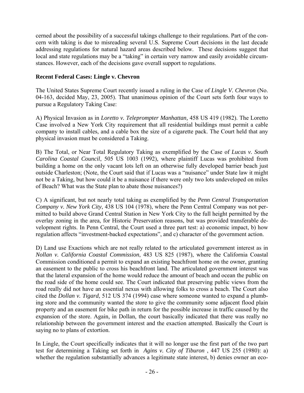cerned about the possibility of a successful takings challenge to their regulations. Part of the concern with taking is due to misreading several U.S. Supreme Court decisions in the last decade addressing regulations for natural hazard areas described below. These decisions suggest that local and state regulations may be a "taking" in certain very narrow and easily avoidable circumstances. However, each of the decisions gave overall support to regulations.

## **Recent Federal Cases: Lingle v. Chevron**

The United States Supreme Court recently issued a ruling in the Case of *Lingle V. Chevron* (No. 04-163, decided May, 23, 2005). That unanimous opinion of the Court sets forth four ways to pursue a Regulatory Taking Case:

A) Physical Invasion as in *Loretto v. Teleprompter Manhattan,* 458 US 419 (1982). The Loretto Case involved a New York City requirement that all residential buildings must permit a cable company to install cables, and a cable box the size of a cigarette pack. The Court held that any physical invasion must be considered a Taking.

B) The Total, or Near Total Regulatory Taking as exemplified by the Case of *Lucas v. South Carolina Coastal Council*, 505 US 1003 (1992), where plaintiff Lucas was prohibited from building a home on the only vacant lots left on an otherwise fully developed barrier beach just outside Charleston; (Note, the Court said that if Lucas was a "nuisance" under State law it might not be a Taking, but how could it be a nuisance if there were only two lots undeveloped on miles of Beach? What was the State plan to abate those nuisances?)

C) A significant, but not nearly total taking as exemplified by the *Penn Central Transportation Company v. New York City*, 438 US 104 (1978), where the Penn Central Company was not permitted to build above Grand Central Station in New York City to the full height permitted by the overlay zoning in the area, for Historic Preservation reasons, but was provided transferable development rights. In Penn Central, the Court used a three part test: a) economic impact, b) how regulation affects "investment-backed expectations", and c) character of the government action.

D) Land use Exactions which are not really related to the articulated government interest as in *Nollan v. California Coastal Commission*, 483 US 825 (1987), where the California Coastal Commission conditioned a permit to expand an existing beachfront home on the owner, granting an easement to the public to cross his beachfront land. The articulated government interest was that the lateral expansion of the home would reduce the amount of beach and ocean the public on the road side of the home could see. The Court indicated that preserving public views from the road really did not have an essential nexus with allowing folks to cross a beach. The Court also cited the *Dollan v. Tigard*, 512 US 374 (1994) case where someone wanted to expand a plumbing store and the community wanted the store to give the community some adjacent flood plain property and an easement for bike path in return for the possible increase in traffic caused by the expansion of the store. Again, in Dollan, the court basically indicated that there was really no relationship between the government interest and the exaction attempted. Basically the Court is saying no to plans of extortion.

In Lingle, the Court specifically indicates that it will no longer use the first part of the two part test for determining a Taking set forth in *Agins v. City of Tiburon* , 447 US 255 (1980): a) whether the regulation substantially advances a legitimate state interest, b) denies owner an eco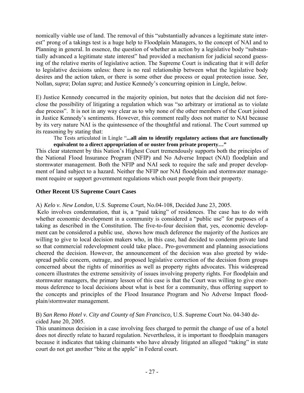nomically viable use of land. The removal of this "substantially advances a legitimate state interest" prong of a takings test is a huge help to Floodplain Managers, to the concept of NAI and to Planning in general. In essence, the question of whether an action by a legislative body "substantially advanced a legitimate state interest" had provided a mechanism for judicial second guessing of the relative merits of legislative action. The Supreme Court is indicating that it will defer to legislative decisions unless: there is no real relationship between what the legislative body desires and the action taken, or there is some other due process or equal protection issue. *See*, Nollan, *supra*; Dolan *supra*; and Justice Kennedy's concurring opinion in Lingle, *below*.

E) Justice Kennedy concurred in the majority opinion, but notes that the decision did not foreclose the possibility of litigating a regulation which was "so arbitrary or irrational as to violate due process". It is not in any way clear as to why none of the other members of the Court joined in Justice Kennedy's sentiments. However, this comment really does not matter to NAI because by its very nature NAI is the quintessence of the thoughtful and rational. The Court summed up its reasoning by stating that:

The Tests articulated in Lingle "**...all aim to identify regulatory actions that are functionally equivalent to a direct appropriation of or ouster from private property…"** 

This clear statement by this Nation's Highest Court tremendously supports both the principles of the National Flood Insurance Program (NFIP) and No Adverse Impact (NAI) floodplain and stormwater management. Both the NFIP and NAI seek to require the safe and proper development of land subject to a hazard. Neither the NFIP nor NAI floodplain and stormwater management require or support government regulations which oust people from their property.

#### **Other Recent US Supreme Court Cases**

A) *Kelo v. New London*, U.S. Supreme Court, No.04-108, Decided June 23, 2005.

 Kelo involves condemnation, that is, a "paid taking" of residences. The case has to do with whether economic development in a community is considered a "public use" for purposes of a taking as described in the Constitution. The five-to-four decision that, yes, economic development can be considered a public use, shows how much deference the majority of the Justices are willing to give to local decision makers who, in this case, had decided to condemn private land so that commercial redevelopment could take place.. Pro-government and planning associations cheered the decision. However, the announcement of the decision was also greeted by widespread public concern, outrage, and proposed legislative correction of the decision from groups concerned about the rights of minorities as well as property rights advocates. This widespread concern illustrates the extreme sensitivity of issues involving property rights. For floodplain and stormwater managers, the primary lesson of this case is that the Court was willing to give enormous deference to local decisions about what is best for a community, thus offering support to the concepts and principles of the Flood Insurance Program and No Adverse Impact floodplain/stormwater management.

B) *San Remo Hotel v. City and County of San Francisco*, U.S. Supreme Court No. 04-340 decided June 20, 2005.

This unanimous decision in a case involving fees charged to permit the change of use of a hotel does not directly relate to hazard regulation. Nevertheless, it is important to floodplain managers because it indicates that taking claimants who have already litigated an alleged "taking" in state court do not get another "bite at the apple" in Federal court.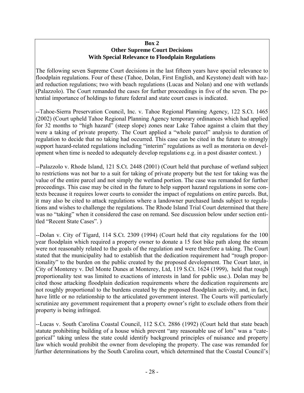#### **Box 2 Other Supreme Court Decisions With Special Relevance to Floodplain Regulations**

The following seven Supreme Court decisions in the last fifteen years have special relevance to floodplain regulations. Four of these (Tahoe, Dolan, First English, and Keystone) dealt with hazard reduction regulations; two with beach regulations (Lucas and Nolan) and one with wetlands (Palazzolo). The Court remanded the cases for further proceedings in five of the seven. The potential importance of holdings to future federal and state court cases is indicated.

--Tahoe-Sierra Preservation Council, Inc. v. Tahoe Regional Planning Agency, 122 S.Ct. 1465 (2002) (Court upheld Tahoe Regional Planning Agency temporary ordinances which had applied for 32 months to "high hazard" (steep slope) zones near Lake Tahoe against a claim that they were a taking of private property. The Court applied a "whole parcel" analysis to duration of regulation to decide that no taking had occurred. This case can be cited in the future to strongly support hazard-related regulations including "interim" regulations as well as moratoria on development when time is needed to adequately develop regulations e.g. in a post disaster context. )

--Palazzolo v. Rhode Island, 121 S.Ct. 2448 (2001) (Court held that purchase of wetland subject to restrictions was not bar to a suit for taking of private property but the test for taking was the value of the entire parcel and not simply the wetland portion. The case was remanded for further proceedings. This case may be cited in the future to help support hazard regulations in some contexts because it requires lower courts to consider the impact of regulations on entire parcels. But, it may also be cited to attack regulations where a landowner purchased lands subject to regulations and wishes to challenge the regulations. The Rhode Island Trial Court determined that there was no "taking" when it considered the case on remand. See discussion below under section entitled "Recent State Cases". )

--Dolan v. City of Tigard, 114 S.Ct. 2309 (1994) (Court held that city regulations for the 100 year floodplain which required a property owner to donate a 15 foot bike path along the stream were not reasonably related to the goals of the regulation and were therefore a taking. The Court stated that the municipality had to establish that the dedication requirement had "rough proportionality" to the burden on the public created by the proposed development. The Court later, in City of Monterey v. Del Monte Dunes at Monterey, Ltd, 119 S.Ct. 1624 (1999), held that rough proportionality test was limited to exactions of interests in land for public use.). Dolan may be cited those attacking floodplain dedication requirements where the dedication requirements are not roughly proportional to the burdens created by the proposed floodplain activity, and, in fact, have little or no relationship to the articulated government interest. The Courts will particularly scrutinize any government requirement that a property owner's right to exclude others from their property is being infringed.

--Lucas v. South Carolina Coastal Council, 112 S.Ct. 2886 (1992) (Court held that state beach statute prohibiting building of a house which prevent "any reasonable use of lots" was a "categorical" taking unless the state could identify background principles of nuisance and property law which would prohibit the owner from developing the property. The case was remanded for further determinations by the South Carolina court, which determined that the Coastal Council's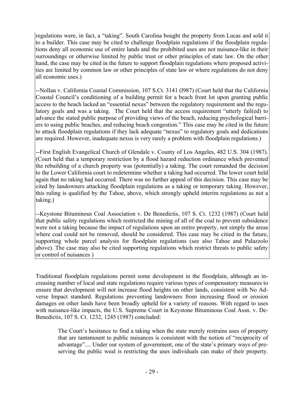regulations were, in fact, a "taking". South Carolina bought the property from Lucas and sold it to a builder. This case may be cited to challenge floodplain regulations if the floodplain regulations deny all economic use of entire lands and the prohibited uses are not nuisance-like in their surroundings or otherwise limited by public trust or other principles of state law. On the other hand, the case may be cited in the future to support floodplain regulations where proposed activities are limited by common law or other principles of state law or where regulations do not deny all economic uses.)

--Nollan v. California Coastal Commission, 107 S.Ct. 3141 (l987) (Court held that the California Coastal Council's conditioning of a building permit for a beach front lot upon granting public access to the beach lacked an "essential nexus" between the regulatory requirement and the regulatory goals and was a taking. The Court held that the access requirement "utterly fail(ed) to advance the stated public purpose of providing views of the beach, reducing psychological barriers to using public beaches, and reducing beach congestion." This case may be cited in the future to attack floodplain regulations if they lack adequate "nexus" to regulatory goals and dedications are required. However, inadequate nexus is very rarely a problem with floodplain regulations.)

--First English Evangelical Church of Glendale v. County of Los Angeles, 482 U.S. 304 (1987). (Court held that a temporary restriction by a flood hazard reduction ordinance which prevented the rebuilding of a church property was (potentially) a taking. The court remanded the decision to the Lower California court to redetermine whether a taking had occurred. The lower court held again that no taking had occurred. There was no further appeal of this decision. This case may be cited by landowners attacking floodplain regulations as a taking or temporary taking. However, this ruling is qualified by the Tahoe, above, which strongly upheld interim regulations as not a taking.)

--Keystone Bituminous Coal Association v. De Benedictis, 107 S. Ct. 1232 (1987) (Court held that public safety regulations which restricted the mining of all of the coal to prevent subsidence were not a taking because the impact of regulations upon an entire property, not simply the areas where coal could not be removed, should be considered. This case may be citied in the future, supporting whole parcel analysis for floodplain regulations (see also Tahoe and Palazzolo above). The case may also be cited supporting regulations which restrict threats to public safety or control of nuisances )

Traditional floodplain regulations permit some development in the floodplain, although an increasing number of local and state regulations require various types of compensatory measures to ensure that development will not increase flood heights on other lands, consistent with No Adverse Impact standard. Regulations preventing landowners from increasing flood or erosion damages on other lands have been broadly upheld for a variety of reasons. With regard to uses with nuisance-like impacts, the U.S. Supreme Court in Keystone Bituminous Coal Assn. v. De-Benedictis, 107 S. Ct. 1232, 1245 (1987) concluded:

The Court's hesitance to find a taking when the state merely restrains uses of property that are tantamount to public nuisances is consistent with the notion of "reciprocity of advantage".... Under our system of government, one of the state's primary ways of preserving the public weal is restricting the uses individuals can make of their property.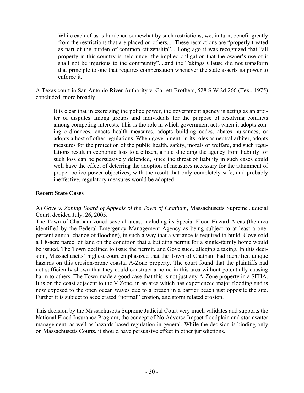While each of us is burdened somewhat by such restrictions, we, in turn, benefit greatly from the restrictions that are placed on others.... These restrictions are "properly treated as part of the burden of common citizenship"... Long ago it was recognized that "all property in this country is held under the implied obligation that the owner's use of it shall not be injurious to the community"....and the Takings Clause did not transform that principle to one that requires compensation whenever the state asserts its power to enforce it.

A Texas court in San Antonio River Authority v. Garrett Brothers, 528 S.W.2d 266 (Tex., 1975) concluded, more broadly:

It is clear that in exercising the police power, the government agency is acting as an arbiter of disputes among groups and individuals for the purpose of resolving conflicts among competing interests. This is the role in which government acts when it adopts zoning ordinances, enacts health measures, adopts building codes, abates nuisances, or adopts a host of other regulations. When government, in its roles as neutral arbiter, adopts measures for the protection of the public health, safety, morals or welfare, and such regulations result in economic loss to a citizen, a rule shielding the agency from liability for such loss can be persuasively defended, since the threat of liability in such cases could well have the effect of deterring the adoption of measures necessary for the attainment of proper police power objectives, with the result that only completely safe, and probably ineffective, regulatory measures would be adopted.

#### **Recent State Cases**

A) *Gove v. Zoning Board of Appeals of the Town of Chatham*, Massachusetts Supreme Judicial Court, decided July, 26, 2005.

The Town of Chatham zoned several areas, including its Special Flood Hazard Areas (the area identified by the Federal Emergency Management Agency as being subject to at least a onepercent annual chance of flooding), in such a way that a variance is required to build. Gove sold a 1.8-acre parcel of land on the condition that a building permit for a single-family home would be issued. The Town declined to issue the permit, and Gove sued, alleging a taking. In this decision, Massachusetts' highest court emphasized that the Town of Chatham had identified unique hazards on this erosion-prone coastal A-Zone property. The court found that the plaintiffs had not sufficiently shown that they could construct a home in this area without potentially causing harm to others. The Town made a good case that this is not just any A-Zone property in a SFHA. It is on the coast adjacent to the V Zone, in an area which has experienced major flooding and is now exposed to the open ocean waves due to a breach in a barrier beach just opposite the site. Further it is subject to accelerated "normal" erosion, and storm related erosion.

This decision by the Massachusetts Supreme Judicial Court very much validates and supports the National Flood Insurance Program, the concept of No Adverse Impact floodplain and stormwater management, as well as hazards based regulation in general. While the decision is binding only on Massachusetts Courts, it should have persuasive effect in other jurisdictions.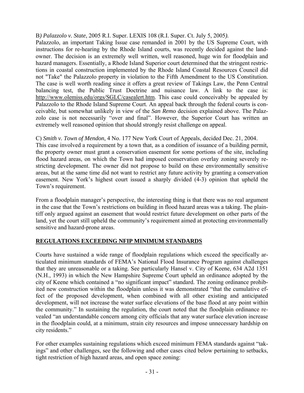<span id="page-30-0"></span>B*) Palazzolo v. State*, 2005 R.I. Super. LEXIS 108 (R.I. Super. Ct. July 5, 2005*).* 

Palazzolo, an important Taking Issue case remanded in 2001 by the US Supreme Court, with instructions for re-hearing by the Rhode Island courts, was recently decided against the landowner. The decision is an extremely well written, well reasoned, huge win for floodplain and hazard managers. Essentially, a Rhode Island Superior court determined that the stringent restrictions in coastal construction implemented by the Rhode Island Coastal Resources Council did not "Take" the Palazzolo property in violation to the Fifth Amendment to the US Constitution. The case is well worth reading since it offers a great review of Takings Law, the Penn Central balancing test, the Public Trust Doctrine and nuisance law. A link to the case is: [http://www.olemiss.edu/orgs/SGLC/casealert.htm.](http://www.olemiss.edu/orgs/SGLC/casealert.htm) This case could conceivably be appealed by Palazzolo to the Rhode Island Supreme Court. An appeal back through the federal courts is conceivable, but somewhat unlikely in view of the *San Remo* decision explained above. The Palazzolo case is not necessarily "over and final". However, the Superior Court has written an extremely well reasoned opinion that should strongly resist challenge on appeal.

C) *Smith v. Town of Mendon*, 4 No. 177 New York Court of Appeals, decided Dec. 21, 2004. This case involved a requirement by a town that, as a condition of issuance of a building permit, the property owner must grant a conservation easement for some portions of the site, including flood hazard areas, on which the Town had imposed conservation overlay zoning severely restricting development. The owner did not propose to build on these environmentally sensitive areas, but at the same time did not want to restrict any future activity by granting a conservation easement. New York's highest court issued a sharply divided (4-3) opinion that upheld the Town's requirement.

From a floodplain manager's perspective, the interesting thing is that there was no real argument in the case that the Town's restrictions on building in flood hazard areas was a taking. The plaintiff only argued against an easement that would restrict future development on other parts of the land, yet the court still upheld the community's requirement aimed at protecting environmentally sensitive and hazard-prone areas.

## **REGULATIONS EXCEEDING NFIP MINIMUM STANDARDS**

Courts have sustained a wide range of floodplain regulations which exceed the specifically articulated minimum standards of FEMA's National Flood Insurance Program against challenges that they are unreasonable or a taking. See particularly Hansel v. City of Keene, 634 A2d 1351 (N.H., 1993) in which the New Hampshire Supreme Court upheld an ordinance adopted by the city of Keene which contained a "no significant impact" standard. The zoning ordinance prohibited new construction within the floodplain unless it was demonstrated "that the cumulative effect of the proposed development, when combined with all other existing and anticipated development, will not increase the water surface elevations of the base flood at any point within the community." In sustaining the regulation, the court noted that the floodplain ordinance revealed "an understandable concern among city officials that any water surface elevation increase in the floodplain could, at a minimum, strain city resources and impose unnecessary hardship on city residents."

For other examples sustaining regulations which exceed minimum FEMA standards against "takings" and other challenges, see the following and other cases cited below pertaining to setbacks, tight restriction of high hazard areas, and open space zoning: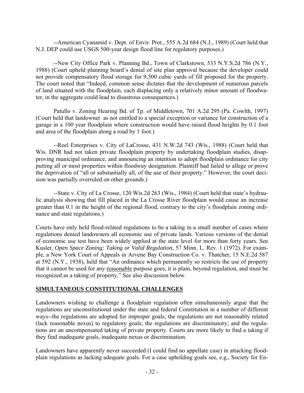<span id="page-31-0"></span>--American Cyanamid v. Dept. of Envir. Prot., 555 A.2d 684 (N.J., 1989) (Court held that N.J. DEP could use USGS 500-year design flood line for regulatory purposes.)

 --New City Office Park v. Planning Bd., Town of Clarkstown, 533 N.Y.S.2d 786 (N.Y., 1988) (Court upheld planning board's denial of site plan approval because the developer could not provide compensatory flood storage for 9,500 cubic yards of fill proposed for the property. The court noted that "Indeed, common sense dictates that the development of numerous parcels of land situated with the floodplain, each displacing only a relatively minor amount of floodwater, in the aggregate could lead to disastrous consequences.)

Patullo v. Zoning Hearing Bd. of Tp. of Middletown, 701 A.2d 295 (Pa. Cowlth, 1997) (Court held that landowner as not entitled to a special exception or variance for construction of a garage in a 100 year floodplain where construction would have raised flood heights by 0.1 foot and area of the floodplain along a road by 1 foot.)

--Reel Enterprises v. City of LaCrosse, 431 N.W.2d 743 (Wis., 1988) (Court held that Wis. DNR had not taken private floodplain property by undertaking floodplain studies, disapproving municipal ordinance, and announcing an intention to adopt floodplain ordinance for city putting all or most properties within floodway designation. Plaintiff had failed to allege or prove the deprivation of "all or substantially all, of the use of their property." However, the court decision was partially overruled on other grounds.)

--State v. City of La Crosse, 120 Wis.2d 263 (Wis., 1984) (Court held that state's hydraulic analysis showing that fill placed in the La Crosse River floodplain would cause an increase greater than 0.1 in the height of the regional flood, contrary to the city's floodplain zoning ordinance and state regulations.)

Courts have only held flood-related regulations to be a taking in a small number of cases where regulations denied landowners all economic use of private lands. Various versions of the denial of economic use test have been widely applied at the state level for more than forty years. See Kusler, *Open Space Zoning: Taking or Valid Regulation*, 57 Minn. L. Rev. 1 (1972). For example, a New York Court of Appeals in Arvene Bay Construction Co. v. Thatcher, 15 N.E.2d 587 at 592 (N.Y., 1938), held that "An ordinance which permanently so restricts the use of property that it cannot be used for any reasonable purpose goes, it is plain, beyond regulation, and must be recognized as a taking of property." See also discussion below.

## **SIMULTANEOUS CONSTITUTIONAL CHALLENGES**

Landowners wishing to challenge a floodplain regulation often simultaneously argue that the regulations are unconstitutional under the state and federal Constitution in a number of different ways--the regulations are adopted for improper goals; the regulations are not reasonably related (lack reasonable nexus) to regulatory goals; the regulations are discriminatory; and the regulations are an uncompensated taking of private property. Courts are more likely to find a taking if they find inadequate goals, inadequate nexus or discrimination.

Landowners have apparently never succeeded (I could find no appellate case) in attacking floodplain regulations as lacking adequate goals. For a case upholding goals see, e.g., Society for En-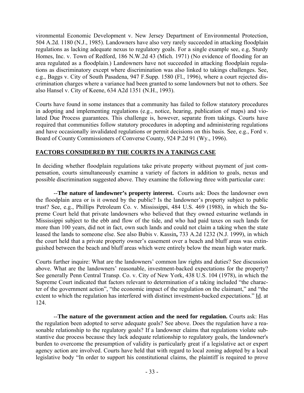<span id="page-32-0"></span>vironmental Economic Development v. New Jersey Department of Environmental Protection, 504 A.2d. 1180 (N.J., 1985). Landowners have also very rarely succeeded in attacking floodplain regulations as lacking adequate nexus to regulatory goals. For a single example see, e.g, Sturdy Homes, Inc. v. Town of Redford, 186 N.W.2d 43 (Mich. 1971) (No evidence of flooding for an area regulated as a floodplain.) Landowners have not succeeded in attacking floodplain regulations as discriminatory except where discrimination was also linked to takings challenges. See, e.g., Baggs v. City of South Pasadena, 947 F.Supp. 1580 (Fl., 1996), where a court rejected discrimination charges where a variance had been granted to some landowners but not to others. See also Hansel v. City of Keene, 634 A2d 1351 (N.H., 1993).

Courts have found in some instances that a community has failed to follow statutory procedures in adopting and implementing regulations (e.g., notice, hearing, publication of maps) and violated Due Process guarantees. This challenge is, however, separate from takings. Courts have required that communities follow statutory procedures in adopting and administering regulations and have occasionally invalidated regulations or permit decisions on this basis. See, e.g., Ford v. Board of County Commissioners of Converse County, 924 P.2d 91 (Wy., 1996).

## **FACTORS CONSIDERED BY THE COURTS IN A TAKINGS CASE**

In deciding whether floodplain regulations take private property without payment of just compensation, courts simultaneously examine a variety of factors in addition to goals, nexus and possible discrimination suggested above. They examine the following three with particular care:

--**The nature of landowner's property interest.** Courts ask: Does the landowner own the floodplain area or is it owned by the public? Is the landowner's property subject to public trust? See, e.g., Phillips Petroleum Co. v. Mississippi, 484 U.S. 469 (1988), in which the Supreme Court held that private landowners who believed that they owned estuarine wetlands in Mississippi subject to the ebb and flow of the tide, and who had paid taxes on such lands for more than 100 years, did not in fact, own such lands and could not claim a taking when the state leased the lands to someone else. See also Bubis v. Kassin**,** 733 A.2d 1232 (N.J. 1999), in which the court held that a private property owner's easement over a beach and bluff areas was extinguished between the beach and bluff areas which were entirely below the mean high water mark.

Courts further inquire: What are the landowners' common law rights and duties? See discussion above. What are the landowners' reasonable, investment-backed expectations for the property? See generally Penn Central Transp. Co. v. City of New York, 438 U.S. 104 (1978), in which the Supreme Court indicated that factors relevant to determination of a taking included "the character of the government action", "the economic impact of the regulation on the claimant," and "the extent to which the regulation has interfered with distinct investment-backed expectations." Id. at 124.

--**The nature of the government action and the need for regulation.** Courts ask: Has the regulation been adopted to serve adequate goals? See above. Does the regulation have a reasonable relationship to the regulatory goals? If a landowner claims that regulations violate substantive due process because they lack adequate relationship to regulatory goals, the landowner's burden to overcome the presumption of validity is particularly great if a legislative act or expert agency action are involved. Courts have held that with regard to local zoning adopted by a local legislative body "In order to support his constitutional claims, the plaintiff is required to prove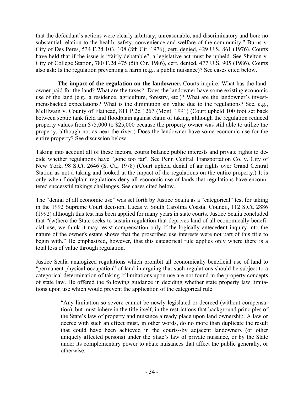that the defendant's actions were clearly arbitrary, unreasonable, and discriminatory and bore no substantial relation to the health, safety, convenience and welfare of the community." Burns v. City of Des Peres, 534 F.2d 103, 108 (8th Cir. 1976), cert. denied, 429 U.S. 861 (1976). Courts have held that if the issue is "fairly debatable", a legislative act must be upheld. See Shelton v. City of College Station**,** 780 F.2d 475 (5th Cir. 1986), cert. denied, 477 U.S. 905 (1986). Courts also ask: Is the regulation preventing a harm (e.g., a public nuisance)? See cases cited below.

 --**The impact of the regulation on the landowner.** Courts inquire: What has the landowner paid for the land? What are the taxes? Does the landowner have some existing economic use of the land (e.g., a residence, agriculture, forestry, etc.)? What are the landowner's investment-backed expectations? What is the diminution sin value due to the regulations? See, e.g., McElwain v. County of Flathead, 811 P.2d 1267 (Mont. 1991) (Court upheld 100 foot set back between septic tank field and floodplain against claim of taking, although the regulation reduced property values from \$75,000 to \$25,000 because the property owner was still able to utilize the property, although not as near the river.) Does the landowner have some economic use for the entire property? See discussion below.

Taking into account all of these factors, courts balance public interests and private rights to decide whether regulations have "gone too far". See Penn Central Transportation Co. v. City of New York, 98 S.Ct. 2646 (S. Ct., 1978) (Court upheld denial of air rights over Grand Central Station as not a taking and looked at the impact of the regulations on the entire property.) It is only when floodplain regulations deny all economic use of lands that regulations have encountered successful takings challenges. See cases cited below.

The "denial of all economic use" was set forth by Justice Scalia as a "categorical" test for taking in the 1992 Supreme Court decision, Lucas v. South Carolina Coastal Council, 112 S.Ct. 2886 (1992) although this test has been applied for many years in state courts. Justice Scalia concluded that "(w)here the State seeks to sustain regulation that deprives land of all economically beneficial use, we think it may resist compensation only if the logically antecedent inquiry into the nature of the owner's estate shows that the proscribed use interests were not part of this title to begin with." He emphasized, however, that this categorical rule applies only where there is a total loss of value through regulation.

Justice Scalia analogized regulations which prohibit all economically beneficial use of land to "permanent physical occupation" of land in arguing that such regulations should be subject to a categorical determination of taking if limitations upon use are not found in the property concepts of state law. He offered the following guidance in deciding whether state property law limitations upon use which would prevent the application of the categorical rule:

> "Any limitation so severe cannot be newly legislated or decreed (without compensation), but must inhere in the title itself, in the restrictions that background principles of the State's law of property and nuisance already place upon land ownership. A law or decree with such an effect must, in other words, do no more than duplicate the result that could have been achieved in the courts--by adjacent landowners (or other uniquely affected persons) under the State's law of private nuisance, or by the State under its complementary power to abate nuisances that affect the public generally, or otherwise.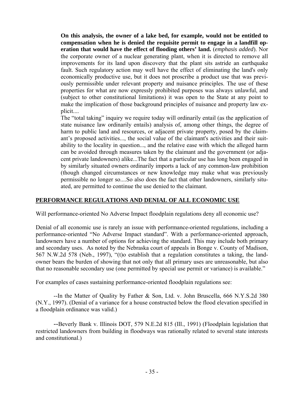<span id="page-34-0"></span>**On this analysis, the owner of a lake bed, for example, would not be entitled to compensation when he is denied the requisite permit to engage in a landfill operation that would have the effect of flooding others' land.** (*emphasis added*). Nor the corporate owner of a nuclear generating plant, when it is directed to remove all improvements for its land upon discovery that the plant sits astride an earthquake fault. Such regulatory action may well have the effect of eliminating the land's only economically productive use, but it does not proscribe a product use that was previously permissible under relevant property and nuisance principles. The use of these properties for what are now expressly prohibited purposes was always unlawful, and (subject to other constitutional limitations) it was open to the State at any point to make the implication of those background principles of nuisance and property law explicit....

The "total taking" inquiry we require today will ordinarily entail (as the application of state nuisance law ordinarily entails) analysis of, among other things, the degree of harm to public land and resources, or adjacent private property, posed by the claimant's proposed activities..., the social value of the claimant's activities and their suitability to the locality in question..., and the relative ease with which the alleged harm can be avoided through measures taken by the claimant and the government (or adjacent private landowners) alike...The fact that a particular use has long been engaged in by similarly situated owners ordinarily imports a lack of any common-law prohibition (though changed circumstances or new knowledge may make what was previously permissible no longer so....So also does the fact that other landowners, similarly situated, are permitted to continue the use denied to the claimant.

## **PERFORMANCE REGULATIONS AND DENIAL OF ALL ECONOMIC USE**

Will performance-oriented No Adverse Impact floodplain regulations deny all economic use?

Denial of all economic use is rarely an issue with performance-oriented regulations, including a performance-oriented "No Adverse Impact standard". With a performance-oriented approach, landowners have a number of options for achieving the standard. This may include both primary and secondary uses. As noted by the Nebraska court of appeals in Bonge v. County of Madison, 567 N.W.2d 578 (Neb., 1997), "(t)o establish that a regulation constitutes a taking, the landowner bears the burden of showing that not only that all primary uses are unreasonable, but also that no reasonable secondary use (one permitted by special use permit or variance) is available."

For examples of cases sustaining performance-oriented floodplain regulations see:

 --In the Matter of Quality by Father & Son, Ltd. v. John Bruscella, 666 N.Y.S.2d 380 (N.Y., 1997). (Denial of a variance for a house constructed below the flood elevation specified in a floodplain ordinance was valid.)

--Beverly Bank v. Illinois DOT, 579 N.E.2d 815 (Ill., 1991) (Floodplain legislation that restricted landowners from building in floodways was rationally related to several state interests and constitutional.)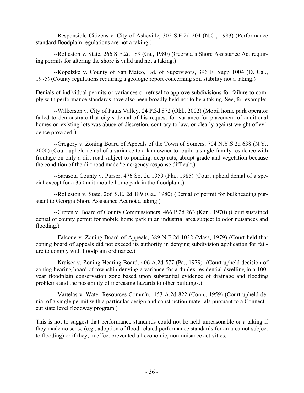--Responsible Citizens v. City of Asheville, 302 S.E.2d 204 (N.C., 1983) (Performance standard floodplain regulations are not a taking.)

 --Rolleston v. State, 266 S.E.2d 189 (Ga., 1980) (Georgia's Shore Assistance Act requiring permits for altering the shore is valid and not a taking.)

--Kopelzke v. County of San Mateo, Bd. of Supervisors, 396 F. Supp 1004 (D. Cal., 1975) (County regulations requiring a geologic report concerning soil stability not a taking.)

Denials of individual permits or variances or refusal to approve subdivisions for failure to comply with performance standards have also been broadly held not to be a taking. See, for example:

 --Wilkerson v. City of Pauls Valley, 24 P.3d 872 (Okl., 2002) (Mobil home park operator failed to demonstrate that city's denial of his request for variance for placement of additional homes on existing lots was abuse of discretion, contrary to law, or clearly against weight of evidence provided.)

--Gregory v. Zoning Board of Appeals of the Town of Somers, 704 N.Y.S.2d 638 (N.Y., 2000) (Court upheld denial of a variance to a landowner to build a single-family residence with frontage on only a dirt road subject to ponding, deep ruts, abrupt grade and vegetation because the condition of the dirt road made "emergency response difficult.)

--Sarasota County v. Purser, 476 So. 2d 1359 (Fla., 1985) (Court upheld denial of a special except for a 350 unit mobile home park in the floodplain.)

--Rolleston v. State, 266 S.E. 2d 189 (Ga., 1980) (Denial of permit for bulkheading pursuant to Georgia Shore Assistance Act not a taking.)

--Creten v. Board of County Commissioners, 466 P.2d 263 (Kan., 1970) (Court sustained denial of county permit for mobile home park in an industrial area subject to odor nuisances and flooding.)

 --Falcone v. Zoning Board of Appeals, 389 N.E.2d 1032 (Mass, 1979) (Court held that zoning board of appeals did not exceed its authority in denying subdivision application for failure to comply with floodplain ordinance.)

 --Kraiser v. Zoning Hearing Board, 406 A.2d 577 (Pa., 1979) (Court upheld decision of zoning hearing board of township denying a variance for a duplex residential dwelling in a 100 year floodplain conservation zone based upon substantial evidence of drainage and flooding problems and the possibility of increasing hazards to other buildings.)

 --Vartelas v. Water Resources Comm'n., 153 A.2d 822 (Conn., 1959) (Court upheld denial of a single permit with a particular design and construction materials pursuant to a Connecticut state level floodway program.)

This is not to suggest that performance standards could not be held unreasonable or a taking if they made no sense (e.g., adoption of flood-related performance standards for an area not subject to flooding) or if they, in effect prevented all economic, non-nuisance activities.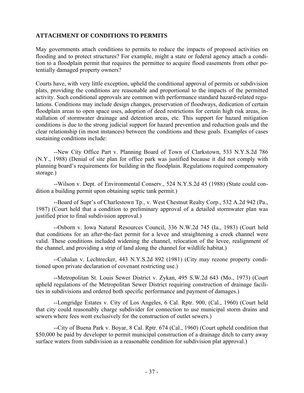## <span id="page-36-0"></span>**ATTACHMENT OF CONDITIONS TO PERMITS**

May governments attach conditions to permits to reduce the impacts of proposed activities on flooding and to protect structures? For example, might a state or federal agency attach a condition to a floodplain permit that requires the permittee to acquire flood easements from other potentially damaged property owners?

Courts have, with very little exception, upheld the conditional approval of permits or subdivision plats, providing the conditions are reasonable and proportional to the impacts of the permitted activity. Such conditional approvals are common with performance standard hazard-related regulations. Conditions may include design changes, preservation of floodways, dedication of certain floodplain areas to open space uses, adoption of deed restrictions for certain high risk areas, installation of stormwater drainage and detention areas, etc. This support for hazard mitigation conditions is due to the strong judicial support for hazard prevention and reduction goals and the clear relationship (in most instances) between the conditions and these goals. Examples of cases sustaining conditions include:

 --New City Office Part v. Planning Board of Town of Clarkstown, 533 N.Y.S.2d 786 (N.Y., 1988) (Denial of site plan for office park was justified because it did not comply with planning board's requirements for building in the floodplain. Regulations required compensatory storage.)

 --Wilson v. Dept. of Environmental Conserv., 524 N.Y.S.2d 45 (1988) (State could condition a building permit upon obtaining septic tank permit.)

 --Board of Supr's of Charlestown Tp., v. West Chestnut Realty Corp., 532 A.2d 942 (Pa., 1987) (Court held that a condition to preliminary approval of a detailed stormwater plan was justified prior to final subdivision approval.)

 --Osborn v. Iowa Natural Resources Council, 336 N.W.2d 745 (Ia., 1983) (Court held that conditions for an after-the-fact permit for a levee and straightening a creek channel were valid. These conditions included widening the channel, relocation of the levee, realignment of the channel, and providing a strip of land along the channel for wildlife habitat.)

--Cohalan v. Lechtrecker, 443 N.Y.S.2d 892 (1981) (City may rezone property conditioned upon private declaration of covenant restricting use.)

 --Metropolitan St. Louis Sewer District v. Zykan, 495 S.W.2d 643 (Mo., 1973) (Court upheld regulations of the Metropolitan Sewer District requiring construction of drainage facilities in subdivisions and ordered both specific performance and payment of damages.)

--Longridge Estates v. City of Los Angeles, 6 Cal. Rptr. 900, (Cal., 1960) (Court held that city could reasonably charge subdivider for connection to use municipal storm drains and sewers where fees went exclusively for the construction of outlet sewers.)

--City of Buena Park v. Boyar, 8 Cal. Rptr. 674 (Cal., 1960) (Court upheld condition that \$50,000 be paid by developer to permit municipal construction of a drainage ditch to carry away surface waters from subdivision as a reasonable condition for subdivision plat approval.)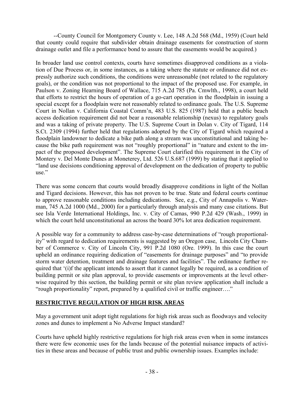<span id="page-37-0"></span>--County Council for Montgomery County v. Lee, 148 A.2d 568 (Md., 1959) (Court held that county could require that subdivider obtain drainage easements for construction of storm drainage outlet and file a performance bond to assure that the easements would be acquired.)

In broader land use control contexts, courts have sometimes disapproved conditions as a violation of Due Process or, in some instances, as a taking where the statute or ordinance did not expressly authorize such conditions, the conditions were unreasonable (not related to the regulatory goals), or the condition was not proportional to the impact of the proposed use. For example, in Paulson v. Zoning Hearning Board of Wallace, 715 A.2d 785 (Pa. Cmwlth., 1998), a court held that efforts to restrict the hours of operation of a go-cart operation in the floodplain in issuing a special except for a floodplain were not reasonably related to ordinance goals. The U.S. Supreme Court in Nollan v. California Coastal Comm'n, 483 U.S. 825 (1987) held that a public beach access dedication requirement did not bear a reasonable relationship (nexus) to regulatory goals and was a taking of private property. The U.S. Supreme Court in Dolan v. City of Tigard, 114 S.Ct. 2309 (1994) further held that regulations adopted by the City of Tigard which required a floodplain landowner to dedicate a bike path along a stream was unconstitutional and taking because the bike path requirement was not "roughly proportional" in "nature and extent to the impact of the proposed development". The Supreme Court clarified this requirement in the City of Montery v. Del Monte Dunes at Moneterey, Ltd. 526 U.S.687 (1999) by stating that it applied to "land use decisions conditioning approval of development on the dedication of property to public use."

There was some concern that courts would broadly disapprove conditions in light of the Nollan and Tigard decisions. However, this has not proven to be true. State and federal courts continue to approve reasonable conditions including dedications. See, e.g., City of Annapolis v. Waterman, 745 A.2d 1000 (Md., 2000) for a particularly through analysis and many case citations. But see Isla Verde International Holdings, Inc. v. City of Camas, 990 P.2d 429 (Wash., 1999) in which the court held unconstitutional an across the board 30% lot area dedication requirement.

A possible way for a community to address case-by-case determinations of "rough proportionality" with regard to dedication requirements is suggested by an Oregon case, Lincoln City Chamber of Commerce v. City of Lincoln City, 991 P.2d 1080 (Ore. 1999). In this case the court upheld an ordinance requiring dedication of "easements for drainage purposes" and "to provide storm water detention, treatment and drainage features and facilities". The ordinance further required that '(i)f the applicant intends to assert that it cannot legally be required, as a condition of building permit or site plan approval, to provide easements or improvements at the level otherwise required by this section, the building permit or site plan review application shall include a "rough proportionality" report, prepared by a qualified civil or traffic engineer…."

## **RESTRICTIVE REGULATION OF HIGH RISK AREAS**

May a government unit adopt tight regulations for high risk areas such as floodways and velocity zones and dunes to implement a No Adverse Impact standard?

Courts have upheld highly restrictive regulations for high risk areas even when in some instances there were few economic uses for the lands because of the potential nuisance impacts of activities in these areas and because of public trust and public ownership issues. Examples include: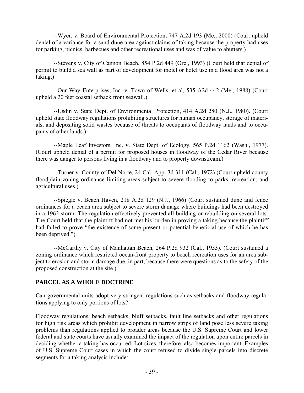<span id="page-38-0"></span> --Wyer. v. Board of Environmental Protection, 747 A.2d 193 (Me., 2000) (Court upheld denial of a variance for a sand dune area against claims of taking because the property had uses for parking, picnics, barbecues and other recreational uses and was of value to abutters.)

 --Stevens v. City of Cannon Beach, 854 P.2d 449 (Ore., 1993) (Court held that denial of permit to build a sea wall as part of development for motel or hotel use in a flood area was not a taking.)

 --Our Way Enterprises, Inc. v. Town of Wells, et al, 535 A2d 442 (Me., 1988) (Court upheld a 20 feet coastal setback from seawall.)

 --Usdin v. State Dept. of Environmental Protection, 414 A.2d 280 (N.J., 1980). (Court upheld state floodway regulations prohibiting structures for human occupancy, storage of materials, and depositing solid wastes because of threats to occupants of floodway lands and to occupants of other lands.)

--Maple Leaf Investors, Inc. v. State Dept. of Ecology, 565 P.2d 1162 (Wash., 1977). (Court upheld denial of a permit for proposed houses in floodway of the Cedar River because there was danger to persons living in a floodway and to property downstream.)

 --Turner v. County of Del Norte, 24 Cal. App. 3d 311 (Cal., 1972) (Court upheld county floodplain zoning ordinance limiting areas subject to severe flooding to parks, recreation, and agricultural uses.)

 --Spiegle v. Beach Haven, 218 A.2d 129 (N.J., 1966) (Court sustained dune and fence ordinances for a beach area subject to severe storm damage where buildings had been destroyed in a 1962 storm. The regulation effectively prevented all building or rebuilding on several lots. The Court held that the plaintiff had not met his burden in proving a taking because the plaintiff had failed to prove "the existence of some present or potential beneficial use of which he has been deprived.")

 --McCarthy v. City of Manhattan Beach, 264 P.2d 932 (Cal., 1953). (Court sustained a zoning ordinance which restricted ocean-front property to beach recreation uses for an area subject to erosion and storm damage due, in part, because there were questions as to the safety of the proposed construction at the site.)

## **PARCEL AS A WHOLE DOCTRINE**

Can governmental units adopt very stringent regulations such as setbacks and floodway regulations applying to only portions of lots?

Floodway regulations, beach setbacks, bluff setbacks, fault line setbacks and other regulations for high risk areas which prohibit development in narrow strips of land pose less severe taking problems than regulations applied to broader areas because the U.S. Supreme Court and lower federal and state courts have usually examined the impact of the regulation upon entire parcels in deciding whether a taking has occurred. Lot sizes, therefore, also becomes important. Examples of U.S. Supreme Court cases in which the court refused to divide single parcels into discrete segments for a taking analysis include: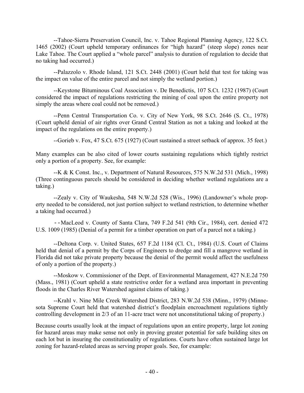--Tahoe-Sierra Preservation Council, Inc. v. Tahoe Regional Planning Agency, 122 S.Ct. 1465 (2002) (Court upheld temporary ordinances for "high hazard" (steep slope) zones near Lake Tahoe. The Court applied a "whole parcel" analysis to duration of regulation to decide that no taking had occurred.)

--Palazzolo v. Rhode Island, 121 S.Ct. 2448 (2001) (Court held that test for taking was the impact on value of the entire parcel and not simply the wetland portion.)

--Keystone Bituminous Coal Association v. De Benedictis, 107 S.Ct. 1232 (1987) (Court considered the impact of regulations restricting the mining of coal upon the entire property not simply the areas where coal could not be removed.)

 --Penn Central Transportation Co. v. City of New York, 98 S.Ct. 2646 (S. Ct., 1978) (Court upheld denial of air rights over Grand Central Station as not a taking and looked at the impact of the regulations on the entire property.)

--Gorieb v. Fox, 47 S.Ct. 675 (1927) (Court sustained a street setback of approx. 35 feet.)

Many examples can be also cited of lower courts sustaining regulations which tightly restrict only a portion of a property. See, for example:

 --K & K Const. Inc., v. Department of Natural Resources, 575 N.W.2d 531 (Mich., 1998) (Three continguous parcels should be considered in deciding whether wetland regulations are a taking.)

 --Zealy v. City of Waukesha, 548 N.W.2d 528 (Wis., 1996) (Landowner's whole property needed to be considered, not just portion subject to wetland restriction, to determine whether a taking had occurred.)

--MacLeod v. County of Santa Clara, 749 F.2d 541 (9th Cir., 1984), cert. denied 472 U.S. 1009 (1985) (Denial of a permit for a timber operation on part of a parcel not a taking.)

 --Deltona Corp. v. United States, 657 F.2d 1184 (Cl. Ct., 1984) (U.S. Court of Claims held that denial of a permit by the Corps of Engineers to dredge and fill a mangrove wetland in Florida did not take private property because the denial of the permit would affect the usefulness of only a portion of the property.)

--Moskow v. Commissioner of the Dept. of Environmental Management, 427 N.E.2d 750 (Mass., 1981) (Court upheld a state restrictive order for a wetland area important in preventing floods in the Charles River Watershed against claims of taking.)

 --Krahl v. Nine Mile Creek Watershed District, 283 N.W.2d 538 (Minn., 1979) (Minnesota Supreme Court held that watershed district's floodplain encroachment regulations tightly controlling development in 2/3 of an 11-acre tract were not unconstitutional taking of property.)

Because courts usually look at the impact of regulations upon an entire property, large lot zoning for hazard areas may make sense not only in proving greater potential for safe building sites on each lot but in insuring the constitutionality of regulations. Courts have often sustained large lot zoning for hazard-related areas as serving proper goals. See, for example: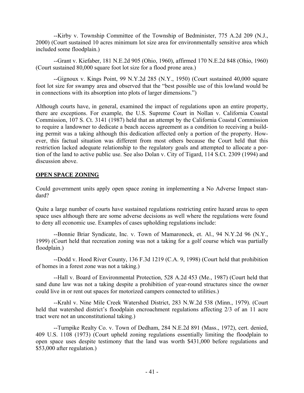<span id="page-40-0"></span> --Kirby v. Township Committee of the Township of Bedminister, 775 A.2d 209 (N.J., 2000) (Court sustained 10 acres minimum lot size area for environmentally sensitive area which included some floodplain.)

--Grant v. Kiefaber, 181 N.E.2d 905 (Ohio, 1960), affirmed 170 N.E.2d 848 (Ohio, 1960) (Court sustained 80,000 square foot lot size for a flood prone area.)

--Gignoux v. Kings Point, 99 N.Y.2d 285 (N.Y., 1950) (Court sustained 40,000 square foot lot size for swampy area and observed that the "best possible use of this lowland would be in connections with its absorption into plots of larger dimensions.")

Although courts have, in general, examined the impact of regulations upon an entire property, there are exceptions. For example, the U.S. Supreme Court in Nollan v. California Coastal Commission, 107 S. Ct. 3141 (1987) held that an attempt by the California Coastal Commission to require a landowner to dedicate a beach access agreement as a condition to receiving a building permit was a taking although this dedication affected only a portion of the property. However, this factual situation was different from most others because the Court held that this restriction lacked adequate relationship to the regulatory goals and attempted to allocate a portion of the land to active public use. See also Dolan v. City of Tigard, 114 S.Ct. 2309 (1994) and discussion above.

## **OPEN SPACE ZONING**

Could government units apply open space zoning in implementing a No Adverse Impact standard?

Quite a large number of courts have sustained regulations restricting entire hazard areas to open space uses although there are some adverse decisions as well where the regulations were found to deny all economic use. Examples of cases upholding regulations include:

 --Bonnie Briar Syndicate, Inc. v. Town of Mamaroneck, et. Al., 94 N.Y.2d 96 (N.Y., 1999) (Court held that recreation zoning was not a taking for a golf course which was partially floodplain.)

 --Dodd v. Hood River County, 136 F.3d 1219 (C.A. 9, 1998) (Court held that prohibition of homes in a forest zone was not a taking.)

 --Hall v. Board of Environmental Protection, 528 A.2d 453 (Me., 1987) (Court held that sand dune law was not a taking despite a prohibition of year-round structures since the owner could live in or rent out spaces for motorized campers connected to utilities.)

 --Krahl v. Nine Mile Creek Watershed District, 283 N.W.2d 538 (Minn., 1979). (Court held that watershed district's floodplain encroachment regulations affecting 2/3 of an 11 acre tract were not an unconstitutional taking.)

 --Turnpike Realty Co. v. Town of Dedham, 284 N.E.2d 891 (Mass., 1972), cert. denied, 409 U.S. 1108 (1973) (Court upheld zoning regulations essentially limiting the floodplain to open space uses despite testimony that the land was worth \$431,000 before regulations and \$53,000 after regulation.)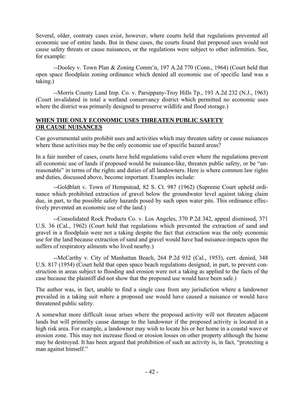<span id="page-41-0"></span>Several, older, contrary cases exist, however, where courts held that regulations prevented all economic use of entire lands. But in these cases, the courts found that proposed uses would not cause safety threats or cause nuisances, or the regulations were subject to other infirmities. See, for example:

--Dooley v. Town Plan & Zoning Comm'n, 197 A.2d 770 (Conn., 1964) (Court held that open space floodplain zoning ordinance which denied all economic use of specific land was a taking.)

 --Morris County Land Imp. Co. v. Parsippany-Troy Hills Tp., 193 A.2d 232 (N.J., 1963) (Court invalidated in total a wetland conservancy district which permitted no economic uses where the district was primarily designed to preserve wildlife and flood storage.)

## **WHEN THE ONLY ECONOMIC USES THREATEN PUBLIC SAFETY OR CAUSE NUISANCES**

Can governmental units prohibit uses and activities which may threaten safety or cause nuisances where these activities may be the only economic use of specific hazard areas?

In a fair number of cases, courts have held regulations valid even where the regulations prevent all economic use of lands if proposed would be nuisance-like, threaten public safety, or be "unreasonable" in terms of the rights and duties of all landowners. Here is where common law rights and duties, discussed above, become important. Examples include:

--Goldblatt v. Town of Hempstead, 82 S. Ct. 987 (1962) (Supreme Court upheld ordinance which prohibited extraction of gravel below the groundwater level against taking claim due, in part, to the possible safety hazards posed by such open water pits. This ordinance effectively prevented an economic use of the land.)

 --Consolidated Rock Products Co. v. Los Angeles, 370 P.2d 342, appeal dismissed, 371 U.S. 36 (Cal., 1962) (Court held that regulations which prevented the extraction of sand and gravel in a floodplain were not a taking despite the fact that extraction was the only economic use for the land because extraction of sand and gravel would have had nuisance-impacts upon the suffers of respiratory ailments who lived nearby.)

 --McCarthy v. City of Manhattan Beach, 264 P.2d 932 (Cal., 1953), cert. denied, 348 U.S. 817 (1954) (Court held that open space beach regulations designed, in part, to prevent construction in areas subject to flooding and erosion were not a taking as applied to the facts of the case because the plaintiff did not show that the proposed use would have been safe.)

The author was, in fact, unable to find a single case from any jurisdiction where a landowner prevailed in a taking suit where a proposed use would have caused a nuisance or would have threatened public safety.

A somewhat more difficult issue arises where the proposed activity will not threaten adjacent lands but will primarily cause damage to the landowner if the proposed activity is located in a high risk area. For example, a landowner may wish to locate his or her home in a coastal wave or erosion zone. This may not increase flood or erosion losses on other property although the home may be destroyed. It has been argued that prohibition of such an activity is, in fact, "protecting a man against himself."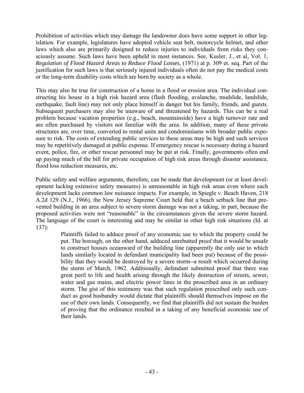Prohibition of activities which may damage the landowner does have some support in other legislation. For example, legislatures have adopted vehicle seat belt, motorcycle helmet, and other laws which also are primarily designed to reduce injuries to individuals from risks they consciously assume. Such laws have been upheld in most instances. See, Kusler, J., et al, Vol. 1, *Regulation of Flood Hazard Areas to Reduce Flood Losses*, (1971) at p. 309 et. seq. Part of the justification for such laws is that seriously injured individuals often do not pay the medical costs or the long-term disability costs which are born by society as a whole.

This may also be true for construction of a home in a flood or erosion area. The individual constructing his house in a high risk hazard area (flash flooding, avalanche, mudslide, landslide, earthquake, fault line) may not only place himself in danger but his family, friends, and guests. Subsequent purchasers may also be unaware of and threatened by hazards. This can be a real problem because vacation properties (e.g., beach, mountainside) have a high turnover rate and are often purchased by visitors not familiar with the area. In addition, many of these private structures are, over time, converted to rental units and condominiums with broader public exposure to risk. The costs of extending public services to these areas may be high and such services may be repetitively damaged at public expense. If emergency rescue is necessary during a hazard event, police, fire, or other rescue personnel may be put at risk. Finally, governments often end up paying much of the bill for private occupation of high risk areas through disaster assistance, flood loss reduction measures, etc.

Public safety and welfare arguments, therefore, can be made that development (or at least development lacking extensive safety measures) is unreasonable in high risk areas even where such development lacks common law nuisance impacts. For example, in Spiegle v. Beach Haven, 218 A.2d 129 (N.J., 1966), the New Jersey Supreme Court held that a beach setback line that prevented building in an area subject to severe storm damage was not a taking, in part, because the proposed activities were not "reasonable" in the circumstances given the severe storm hazard. The language of the court is interesting and may be similar in other high risk situations (Id. at 137):

Plaintiffs failed to adduce proof of any economic use to which the property could be put. The borough, on the other hand, adduced unrebutted proof that it would be unsafe to construct houses oceanward of the building line (apparently the only use to which lands similarly located in defendant municipality had been put) because of the possibility that they would be destroyed by a severe storm--a result which occurred during the storm of March, 1962. Additionally, defendant submitted proof that there was great peril to life and health arising through the likely destruction of streets, sewer, water and gas mains, and electric power lines in the proscribed area in an ordinary storm. The gist of this testimony was that such regulation prescribed only such conduct as good husbandry would dictate that plaintiffs should themselves impose on the use of their own lands. Consequently, we find that plaintiffs did not sustain the burden of proving that the ordinance resulted in a taking of any beneficial economic use of their lands.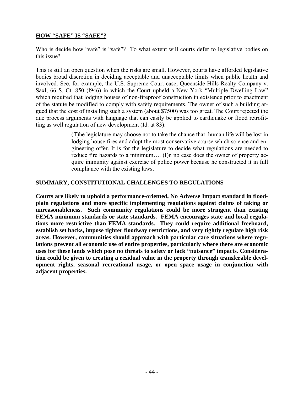#### <span id="page-43-0"></span>**HOW "SAFE" IS "SAFE"?**

Who is decide how "safe" is "safe"? To what extent will courts defer to legislative bodies on this issue?

This is still an open question when the risks are small. However, courts have afforded legislative bodies broad discretion in deciding acceptable and unacceptable limits when public health and involved. See, for example, the U.S. Supreme Court case, Queenside Hills Realty Company v. Saxl, 66 S. Ct. 850 (l946) in which the Court upheld a New York "Multiple Dwelling Law" which required that lodging houses of non-fireproof construction in existence prior to enactment of the statute be modified to comply with safety requirements. The owner of such a building argued that the cost of installing such a system (about \$7500) was too great. The Court rejected the due process arguments with language that can easily be applied to earthquake or flood retrofitting as well regulation of new development (Id. at 83):

> (T)he legislature may choose not to take the chance that human life will be lost in lodging house fires and adopt the most conservative course which science and engineering offer. It is for the legislature to decide what regulations are needed to reduce fire hazards to a minimum…. (I)n no case does the owner of property acquire immunity against exercise of police power because he constructed it in full compliance with the existing laws.

#### **SUMMARY, CONSTITUTIONAL CHALLENGES TO REGULATIONS**

**Courts are likely to uphold a performance-oriented, No Adverse Impact standard in floodplain regulations and more specific implementing regulations against claims of taking or unreasonableness. Such community regulations could be more stringent than existing FEMA minimum standards or state standards. FEMA encourages state and local regulations more restrictive than FEMA standards. They could require additional freeboard, establish set backs, impose tighter floodway restrictions, and very tightly regulate high risk areas. However, communities should approach with particular care situations where regulations prevent all economic use of entire properties, particularly where there are economic uses for these lands which pose no threats to safety or lack "nuisance" impacts. Consideration could be given to creating a residual value in the property through transferable development rights, seasonal recreational usage, or open space usage in conjunction with adjacent properties.**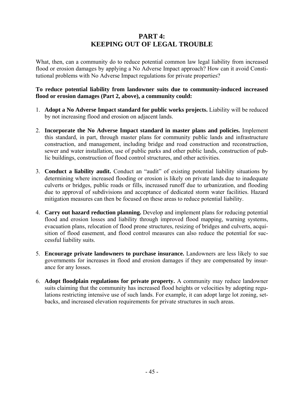## **PART 4: KEEPING OUT OF LEGAL TROUBLE**

<span id="page-44-0"></span>What, then, can a community do to reduce potential common law legal liability from increased flood or erosion damages by applying a No Adverse Impact approach? How can it avoid Constitutional problems with No Adverse Impact regulations for private properties?

#### **To reduce potential liability from landowner suits due to community-induced increased flood or erosion damages (Part 2, above), a community could:**

- 1. **Adopt a No Adverse Impact standard for public works projects.** Liability will be reduced by not increasing flood and erosion on adjacent lands.
- 2. **Incorporate the No Adverse Impact standard in master plans and policies.** Implement this standard, in part, through master plans for community public lands and infrastructure construction, and management, including bridge and road construction and reconstruction, sewer and water installation, use of public parks and other public lands, construction of public buildings, construction of flood control structures, and other activities.
- 3. **Conduct a liability audit.** Conduct an "audit" of existing potential liability situations by determining where increased flooding or erosion is likely on private lands due to inadequate culverts or bridges, public roads or fills, increased runoff due to urbanization, and flooding due to approval of subdivisions and acceptance of dedicated storm water facilities. Hazard mitigation measures can then be focused on these areas to reduce potential liability.
- 4. **Carry out hazard reduction planning.** Develop and implement plans for reducing potential flood and erosion losses and liability through improved flood mapping, warning systems, evacuation plans, relocation of flood prone structures, resizing of bridges and culverts, acquisition of flood easement, and flood control measures can also reduce the potential for successful liability suits.
- 5. **Encourage private landowners to purchase insurance.** Landowners are less likely to sue governments for increases in flood and erosion damages if they are compensated by insurance for any losses.
- 6. **Adopt floodplain regulations for private property.** A community may reduce landowner suits claiming that the community has increased flood heights or velocities by adopting regulations restricting intensive use of such lands. For example, it can adopt large lot zoning, setbacks, and increased elevation requirements for private structures in such areas.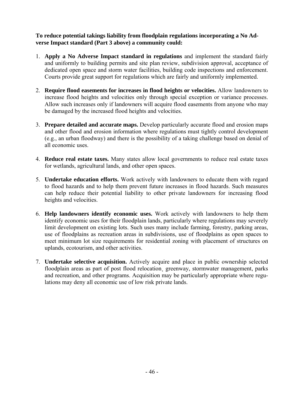## **To reduce potential takings liability from floodplain regulations incorporating a No Adverse Impact standard (Part 3 above) a community could:**

- 1. **Apply a No Adverse Impact standard in regulations** and implement the standard fairly and uniformly to building permits and site plan review, subdivision approval, acceptance of dedicated open space and storm water facilities, building code inspections and enforcement. Courts provide great support for regulations which are fairly and uniformly implemented.
- 2. **Require flood easements for increases in flood heights or velocities.** Allow landowners to increase flood heights and velocities only through special exception or variance processes. Allow such increases only if landowners will acquire flood easements from anyone who may be damaged by the increased flood heights and velocities.
- 3. **Prepare detailed and accurate maps.** Develop particularly accurate flood and erosion maps and other flood and erosion information where regulations must tightly control development (e.g., an urban floodway) and there is the possibility of a taking challenge based on denial of all economic uses.
- 4. **Reduce real estate taxes.** Many states allow local governments to reduce real estate taxes for wetlands, agricultural lands, and other open spaces.
- 5. **Undertake education efforts.** Work actively with landowners to educate them with regard to flood hazards and to help them prevent future increases in flood hazards. Such measures can help reduce their potential liability to other private landowners for increasing flood heights and velocities.
- 6. **Help landowners identify economic uses.** Work actively with landowners to help them identify economic uses for their floodplain lands, particularly where regulations may severely limit development on existing lots. Such uses many include farming, forestry, parking areas, use of floodplains as recreation areas in subdivisions, use of floodplains as open spaces to meet minimum lot size requirements for residential zoning with placement of structures on uplands, ecotourism, and other activities.
- 7. **Undertake selective acquisition.** Actively acquire and place in public ownership selected floodplain areas as part of post flood relocation, greenway, stormwater management, parks and recreation, and other programs. Acquisition may be particularly appropriate where regulations may deny all economic use of low risk private lands.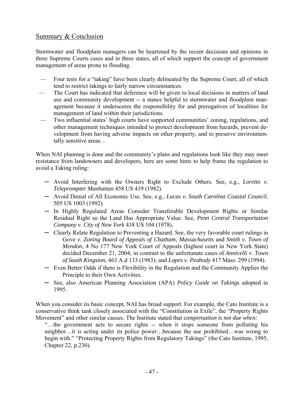## Summary & Conclusion

Stormwater and floodplain managers can be heartened by the recent decisions and opinions in three Supreme Courts cases and in three states, all of which support the concept of government management of areas prone to flooding.

- Four tests for a "taking" have been clearly delineated by the Supreme Court, all of which tend to restrict takings to fairly narrow circumstances.
- The Court has indicated that deference will be given to local decisions in matters of land use and community development -- a stance helpful to stormwater and floodplain management because it underscores the responsibility for and prerogatives of localities for management of land within their jurisdictions.
- Two influential states' high courts have supported communities' zoning, regulations, and other management techniques intended to protect development from hazards, prevent development from having adverse impacts on other property, and to preserve environmentally sensitive areas. .

When NAI planning is done and the community's plans and regulations look like they may meet resistance from landowners and developers, here are some hints to help frame the regulation to avoid a Taking ruling:

- ─ Avoid Interfering with the Owners Right to Exclude Others. See*,* e.g., *Loretto v. Teleprompter Manhattan* 458 US 419 (1982).
- ─ Avoid Denial of All Economic Use. See, e.g., *Lucas v. South Carolina Coastal Council*, 505 US 1003 (1992).
- ─ In Highly Regulated Areas Consider Transferable Development Rights or Similar Residual Right so the Land Has Appropriate Value. See*, Penn Central Transportation Company v. City of New York* 438 US 104 (1978).
- ─ Clearly Relate Regulation to Preventing a Hazard. See, the very favorable court rulings in Gove *v. Zoning Board of Appeals of Chatham, Massachusetts* and *Smith v. Town of Mendon*, 4 No 177 New York Court of Appeals (highest court in New York State) decided December 21, 2004; in contrast to the unfortunate cases of *Annicelli v. Town of South Kingston*, 463 A.d 133 (1983); and *Lopes v. Peabody* 417 Mass. 299 (1994).
- ─ Even Better Odds if there is Flexibility in the Regulation and the Community Applies the Principle to their Own Activities.
- ─ See, also American Planning Association (APA) *Policy Guide on Takings* adopted in 1995.

When you consider its basic concept, NAI has broad support. For example, the Cato Institute is a conservative think tank closely associated with the "Constitution in Exile", the "Property Rights Movement" and other similar causes. The Institute stated that c*ompensation is not due when:* 

"…the government acts to secure rights -- when it stops someone from polluting his neighbor…it is acting under its police power…because the use prohibited…was wrong to begin with." "Protecting Property Rights from Regulatory Takings" (the Cato Institute, 1995, Chapter 22, p.230).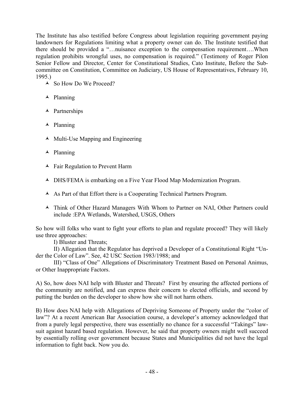The Institute has also testified before Congress about legislation requiring government paying landowners for Regulations limiting what a property owner can do. The Institute testified that there should be provided a "…nuisance exception to the compensation requirement….When regulation prohibits wrongful uses, no compensation is required." (Testimony of Roger Pilon Senior Fellow and Director, Center for Constitutional Studies, Cato Institute, Before the Subcommittee on Constitution, Committee on Judiciary, US House of Representatives, February 10, 1995.)

- ◆ So How Do We Proceed?
- $\blacktriangle$  Planning
- $\blacktriangle$  Partnerships
- $\blacktriangle$  Planning
- $\blacktriangle$  Multi-Use Mapping and Engineering
- $\blacktriangle$  Planning
- $\blacktriangle$  Fair Regulation to Prevent Harm
- DHS/FEMA is embarking on a Five Year Flood Map Modernization Program.
- As Part of that Effort there is a Cooperating Technical Partners Program.
- Think of Other Hazard Managers With Whom to Partner on NAI, Other Partners could include :EPA Wetlands, Watershed, USGS, Others

So how will folks who want to fight your efforts to plan and regulate proceed? They will likely use three approaches:

I) Bluster and Threats;

II) Allegation that the Regulator has deprived a Developer of a Constitutional Right "Under the Color of Law". See, 42 USC Section 1983/1988; and

III) "Class of One" Allegations of Discriminatory Treatment Based on Personal Animus, or Other Inappropriate Factors.

A) So, how does NAI help with Bluster and Threats? First by ensuring the affected portions of the community are notified, and can express their concern to elected officials, and second by putting the burden on the developer to show how she will not harm others.

B) How does NAI help with Allegations of Depriving Someone of Property under the "color of law"? At a recent American Bar Association course, a developer's attorney acknowledged that from a purely legal perspective, there was essentially no chance for a successful "Takings" lawsuit against hazard based regulation. However, he said that property owners might well succeed by essentially rolling over government because States and Municipalities did not have the legal information to fight back. Now you do.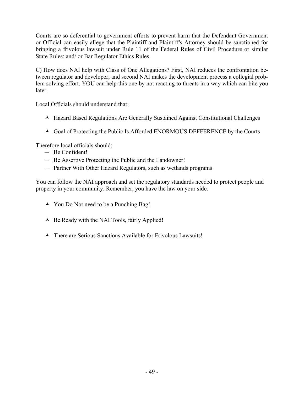Courts are so deferential to government efforts to prevent harm that the Defendant Government or Official can easily allege that the Plaintiff and Plaintiff's Attorney should be sanctioned for bringing a frivolous lawsuit under Rule 11 of the Federal Rules of Civil Procedure or similar State Rules; and/ or Bar Regulator Ethics Rules.

C) How does NAI help with Class of One Allegations? First, NAI reduces the confrontation between regulator and developer; and second NAI makes the development process a collegial problem solving effort. YOU can help this one by not reacting to threats in a way which can bite you later.

Local Officials should understand that:

- Hazard Based Regulations Are Generally Sustained Against Constitutional Challenges
- $\triangle$  Goal of Protecting the Public Is Afforded ENORMOUS DEFFERENCE by the Courts

Therefore local officials should:

- ─ Be Confident!
- ─ Be Assertive Protecting the Public and the Landowner!
- ─ Partner With Other Hazard Regulators, such as wetlands programs

You can follow the NAI approach and set the regulatory standards needed to protect people and property in your community. Remember, you have the law on your side.

- You Do Not need to be a Punching Bag!
- $\triangle$  Be Ready with the NAI Tools, fairly Applied!
- $\triangle$  There are Serious Sanctions Available for Frivolous Lawsuits!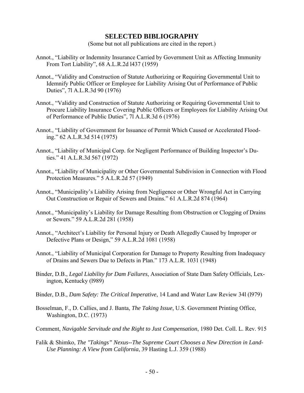## **SELECTED BIBLIOGRAPHY**

(Some but not all publications are cited in the report.)

- <span id="page-49-0"></span>Annot., "Liability or Indemnity Insurance Carried by Government Unit as Affecting Immunity From Tort Liability", 68 A.L.R.2d l437 (1959)
- Annot., "Validity and Construction of Statute Authorizing or Requiring Governmental Unit to Idemnify Public Officer or Employee for Liability Arising Out of Performance of Public Duties", 7l A.L.R.3d 90 (1976)
- Annot., "Validity and Construction of Statute Authorizing or Requiring Governmental Unit to Procure Liability Insurance Covering Public Officers or Employees for Liability Arising Out of Performance of Public Duties", 7l A.L.R.3d 6 (1976)
- Annot., "Liability of Government for Issuance of Permit Which Caused or Accelerated Flooding." 62 A.L.R.3d 514 (1975)
- Annot., "Liability of Municipal Corp. for Negligent Performance of Building Inspector's Duties." 41 A.L.R.3d 567 (1972)
- Annot., "Liability of Municipality or Other Governmental Subdivision in Connection with Flood Protection Measures." 5 A.L.R.2d 57 (1949)
- Annot., "Municipality's Liability Arising from Negligence or Other Wrongful Act in Carrying Out Construction or Repair of Sewers and Drains." 61 A.L.R.2d 874 (1964)
- Annot., "Municipality's Liability for Damage Resulting from Obstruction or Clogging of Drains or Sewers." 59 A.L.R.2d 281 (1958)
- Annot., "Architect's Liability for Personal Injury or Death Allegedly Caused by Improper or Defective Plans or Design," 59 A.L.R.2d 1081 (1958)
- Annot., "Liability of Municipal Corporation for Damage to Property Resulting from Inadequacy of Drains and Sewers Due to Defects in Plan." 173 A.L.R. 1031 (1948)
- Binder, D.B., *Legal Liability for Dam Failures*, Association of State Dam Safety Officials, Lexington, Kentucky (l989)
- Binder, D.B., *Dam Safety: The Critical Imperative*, 14 Land and Water Law Review 34l (l979)
- Bosselman, F., D. Callies, and J. Banta, *The Taking Issue*, U.S. Government Printing Office, Washington, D.C. (1973)
- Comment, *Navigable Servitude and the Right to Just Compensation*, 1980 Det. Coll. L. Rev. 915
- Falik & Shimko, *The "Takings" Nexus--The Supreme Court Chooses a New Direction in Land-Use Planning: A View from California*, 39 Hasting L.J. 359 (1988)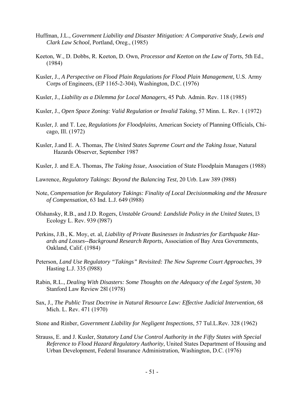- Huffman, J.L., *Government Liability and Disaster Mitigation: A Comparative Study, Lewis and Clark Law School*, Portland, Oreg., (1985)
- Keeton, W., D. Dobbs, R. Keeton, D. Own, *Processor and Keeton on the Law of Torts*, 5th Ed., (1984)
- Kusler, J., *A Perspective on Flood Plain Regulations for Flood Plain Management,* U.S. Army Corps of Engineers, (EP 1165-2-304), Washington, D.C. (1976)
- Kusler, J., *Liability as a Dilemma for Local Managers*, 45 Pub. Admin. Rev. 118 (1985)
- Kusler, J., *Open Space Zoning: Valid Regulation or Invalid Taking*, 57 Minn. L. Rev. 1 (1972)
- Kusler, J. and T. Lee, *Regulations for Floodplains*, American Society of Planning Officials, Chicago, Ill. (1972)
- Kusler, J.and E. A. Thomas, *The United States Supreme Court and the Taking Issue*, Natural Hazards Observer, September 1987
- Kusler, J. and E.A. Thomas, *The Taking Issue*, Association of State Floodplain Managers (1988)
- Lawrence, *Regulatory Takings: Beyond the Balancing Test*, 20 Urb. Law 389 (l988)
- Note, *Compensation for Regulatory Takings: Finality of Local Decisionmaking and the Measure of Compensation*, 63 Ind. L.J. 649 (l988)
- Olshansky, R.B., and J.D. Rogers, *Unstable Ground: Landslide Policy in the United States*, l3 Ecology L. Rev. 939 (l987)
- Perkins, J.B., K. Moy, et. al, *Liability of Private Businesses in Industries for Earthquake Hazards and Losses--Background Research Reports*, Association of Bay Area Governments, Oakland, Calif. (1984)
- Peterson, *Land Use Regulatory "Takings" Revisited: The New Supreme Court Approaches*, 39 Hasting L.J. 335 (l988)
- Rabin, R.L., *Dealing With Disasters: Some Thoughts on the Adequacy of the Legal System*, 30 Stanford Law Review 28l (1978)
- Sax, J., *The Public Trust Doctrine in Natural Resource Law: Effective Judicial Intervention*, 68 Mich. L. Rev. 471 (1970)
- Stone and Rinber, *Government Liability for Negligent Inspections*, 57 Tul.L.Rev. 328 (1962)
- Strauss, E. and J. Kusler, *Statutory Land Use Control Authority in the Fifty States with Special Reference to Flood Hazard Regulatory Authority*, United States Department of Housing and Urban Development, Federal Insurance Administration, Washington, D.C. (1976)